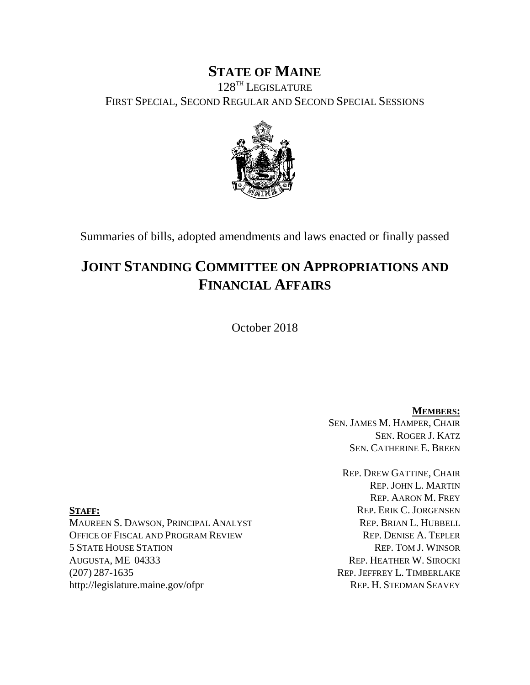# **STATE OF MAINE**

128TH LEGISLATURE FIRST SPECIAL, SECOND REGULAR AND SECOND SPECIAL SESSIONS



Summaries of bills, adopted amendments and laws enacted or finally passed

# **JOINT STANDING COMMITTEE ON APPROPRIATIONS AND FINANCIAL AFFAIRS**

October 2018

**MEMBERS:** SEN. JAMES M. HAMPER, CHAIR SEN. ROGER J. KATZ SEN. CATHERINE E. BREEN

REP. DREW GATTINE, CHAIR REP. JOHN L. MARTIN REP. AARON M. FREY **STAFF:** REP. ERIK C. JORGENSEN

MAUREEN S. DAWSON, PRINCIPAL ANALYST REP. BRIAN L. HUBBELL OFFICE OF FISCAL AND PROGRAM REVIEW REP. DENISE A. TEPLER 5 STATE HOUSE STATION REP. TOM J. WINSOR AUGUSTA, ME 04333 REP. HEATHER W. SIROCKI (207) 287-1635 REP. JEFFREY L. TIMBERLAKE http://legislature.maine.gov/ofpr REP. H. STEDMAN SEAVEY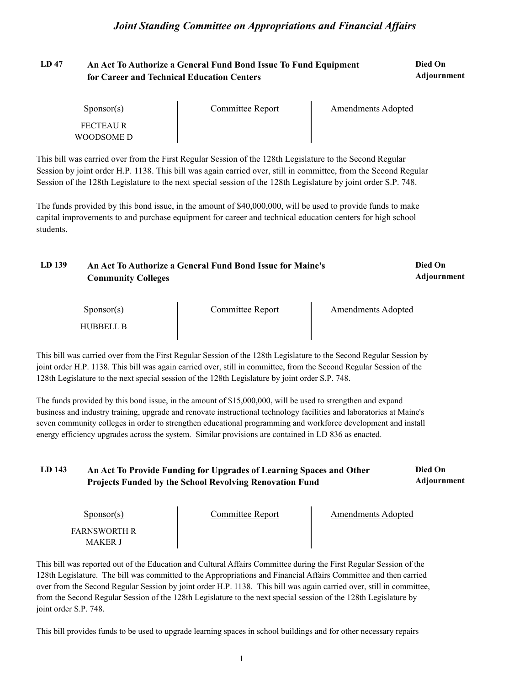#### **LD 47 Died On An Act To Authorize a General Fund Bond Issue To Fund Equipment Adjournment for Career and Technical Education Centers**

| Sponsor(s)              | Committee Report | Amendments Adopted |  |
|-------------------------|------------------|--------------------|--|
| FECTEAU R<br>WOODSOME D |                  |                    |  |

This bill was carried over from the First Regular Session of the 128th Legislature to the Second Regular Session by joint order H.P. 1138. This bill was again carried over, still in committee, from the Second Regular Session of the 128th Legislature to the next special session of the 128th Legislature by joint order S.P. 748.

The funds provided by this bond issue, in the amount of \$40,000,000, will be used to provide funds to make capital improvements to and purchase equipment for career and technical education centers for high school students.

| LD 139<br>An Act To Authorize a General Fund Bond Issue for Maine's<br><b>Community Colleges</b> |  | Died On<br><b>Adjournment</b> |
|--------------------------------------------------------------------------------------------------|--|-------------------------------|
|                                                                                                  |  |                               |

| Sponsor(s)       | Committee Report | Amendments Adopted |  |
|------------------|------------------|--------------------|--|
| <b>HUBBELL B</b> |                  |                    |  |

This bill was carried over from the First Regular Session of the 128th Legislature to the Second Regular Session by joint order H.P. 1138. This bill was again carried over, still in committee, from the Second Regular Session of the 128th Legislature to the next special session of the 128th Legislature by joint order S.P. 748.

The funds provided by this bond issue, in the amount of \$15,000,000, will be used to strengthen and expand business and industry training, upgrade and renovate instructional technology facilities and laboratories at Maine's seven community colleges in order to strengthen educational programming and workforce development and install energy efficiency upgrades across the system. Similar provisions are contained in LD 836 as enacted.

| LD 143 | An Act To Provide Funding for Upgrades of Learning Spaces and Other | Died On     |
|--------|---------------------------------------------------------------------|-------------|
|        | <b>Projects Funded by the School Revolving Renovation Fund</b>      | Adjournment |

| $S_{\text{ponsor}}(s)$ | Committee Report | Amendments Adopted |
|------------------------|------------------|--------------------|
| <b>FARNSWORTH R</b>    |                  |                    |
| <b>MAKER J</b>         |                  |                    |

This bill was reported out of the Education and Cultural Affairs Committee during the First Regular Session of the 128th Legislature. The bill was committed to the Appropriations and Financial Affairs Committee and then carried over from the Second Regular Session by joint order H.P. 1138. This bill was again carried over, still in committee, from the Second Regular Session of the 128th Legislature to the next special session of the 128th Legislature by joint order S.P. 748.

This bill provides funds to be used to upgrade learning spaces in school buildings and for other necessary repairs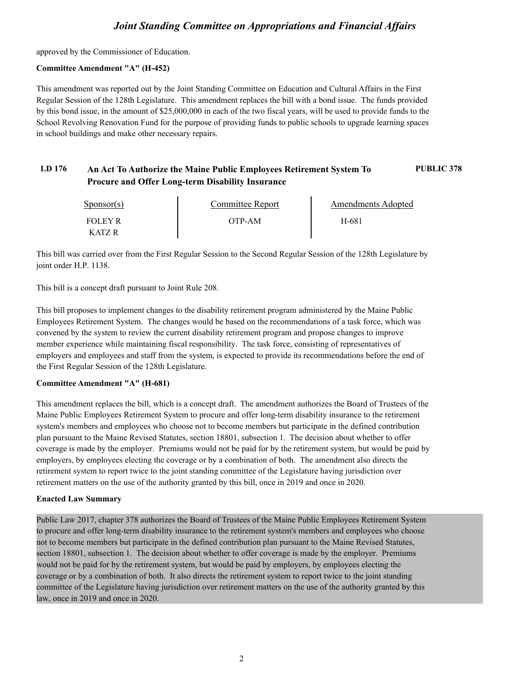approved by the Commissioner of Education.

### **Committee Amendment "A" (H-452)**

This amendment was reported out by the Joint Standing Committee on Education and Cultural Affairs in the First Regular Session of the 128th Legislature. This amendment replaces the bill with a bond issue. The funds provided by this bond issue, in the amount of \$25,000,000 in each of the two fiscal years, will be used to provide funds to the School Revolving Renovation Fund for the purpose of providing funds to public schools to upgrade learning spaces in school buildings and make other necessary repairs.

### **LD 176 An Act To Authorize the Maine Public Employees Retirement System To PUBLIC 378 Procure and Offer Long-term Disability Insurance**

| $S_{\text{ponsor}}(s)$ | Committee Report | <b>Amendments Adopted</b> |  |
|------------------------|------------------|---------------------------|--|
| <b>FOLEY R</b>         | OTP-AM           | H-681                     |  |
| K ATZ R                |                  |                           |  |

This bill was carried over from the First Regular Session to the Second Regular Session of the 128th Legislature by joint order H.P. 1138.

This bill is a concept draft pursuant to Joint Rule 208.

This bill proposes to implement changes to the disability retirement program administered by the Maine Public Employees Retirement System. The changes would be based on the recommendations of a task force, which was convened by the system to review the current disability retirement program and propose changes to improve member experience while maintaining fiscal responsibility. The task force, consisting of representatives of employers and employees and staff from the system, is expected to provide its recommendations before the end of the First Regular Session of the 128th Legislature.

### **Committee Amendment "A" (H-681)**

This amendment replaces the bill, which is a concept draft. The amendment authorizes the Board of Trustees of the Maine Public Employees Retirement System to procure and offer long-term disability insurance to the retirement system's members and employees who choose not to become members but participate in the defined contribution plan pursuant to the Maine Revised Statutes, section 18801, subsection 1. The decision about whether to offer coverage is made by the employer. Premiums would not be paid for by the retirement system, but would be paid by employers, by employees electing the coverage or by a combination of both. The amendment also directs the retirement system to report twice to the joint standing committee of the Legislature having jurisdiction over retirement matters on the use of the authority granted by this bill, once in 2019 and once in 2020.

### **Enacted Law Summary**

Public Law 2017, chapter 378 authorizes the Board of Trustees of the Maine Public Employees Retirement System to procure and offer long-term disability insurance to the retirement system's members and employees who choose not to become members but participate in the defined contribution plan pursuant to the Maine Revised Statutes, section 18801, subsection 1. The decision about whether to offer coverage is made by the employer. Premiums would not be paid for by the retirement system, but would be paid by employers, by employees electing the coverage or by a combination of both. It also directs the retirement system to report twice to the joint standing committee of the Legislature having jurisdiction over retirement matters on the use of the authority granted by this law, once in 2019 and once in 2020.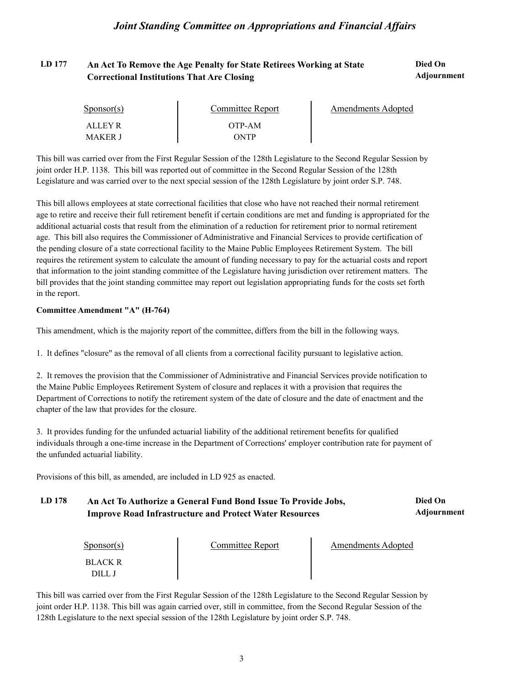# **LD 177 Died On An Act To Remove the Age Penalty for State Retirees Working at State Correctional Institutions That Are Closing**

**Adjournment**

| $S_{\text{PONSOT}}(s)$    | Committee Report | Amendments Adopted |  |
|---------------------------|------------------|--------------------|--|
| ALLEY R<br><b>MAKER J</b> | OTP-AM<br>ONTP   |                    |  |

This bill was carried over from the First Regular Session of the 128th Legislature to the Second Regular Session by joint order H.P. 1138. This bill was reported out of committee in the Second Regular Session of the 128th Legislature and was carried over to the next special session of the 128th Legislature by joint order S.P. 748.

This bill allows employees at state correctional facilities that close who have not reached their normal retirement age to retire and receive their full retirement benefit if certain conditions are met and funding is appropriated for the additional actuarial costs that result from the elimination of a reduction for retirement prior to normal retirement age. This bill also requires the Commissioner of Administrative and Financial Services to provide certification of the pending closure of a state correctional facility to the Maine Public Employees Retirement System. The bill requires the retirement system to calculate the amount of funding necessary to pay for the actuarial costs and report that information to the joint standing committee of the Legislature having jurisdiction over retirement matters. The bill provides that the joint standing committee may report out legislation appropriating funds for the costs set forth in the report.

### **Committee Amendment "A" (H-764)**

This amendment, which is the majority report of the committee, differs from the bill in the following ways.

1. It defines "closure" as the removal of all clients from a correctional facility pursuant to legislative action.

2. It removes the provision that the Commissioner of Administrative and Financial Services provide notification to the Maine Public Employees Retirement System of closure and replaces it with a provision that requires the Department of Corrections to notify the retirement system of the date of closure and the date of enactment and the chapter of the law that provides for the closure.

3. It provides funding for the unfunded actuarial liability of the additional retirement benefits for qualified individuals through a one-time increase in the Department of Corrections' employer contribution rate for payment of the unfunded actuarial liability.

Provisions of this bill, as amended, are included in LD 925 as enacted.

#### LD 178 An Act To Authorize a General Fund Bond Issue To Provide Jobs, Died On **Adjournment Improve Road Infrastructure and Protect Water Resources**

| $S_{\text{DONSOT}}(s)$ | Committee Report | <b>Amendments Adopted</b> |  |
|------------------------|------------------|---------------------------|--|
| <b>BLACK R</b>         |                  |                           |  |
| <u>ו וורי</u>          |                  |                           |  |

This bill was carried over from the First Regular Session of the 128th Legislature to the Second Regular Session by joint order H.P. 1138. This bill was again carried over, still in committee, from the Second Regular Session of the 128th Legislature to the next special session of the 128th Legislature by joint order S.P. 748.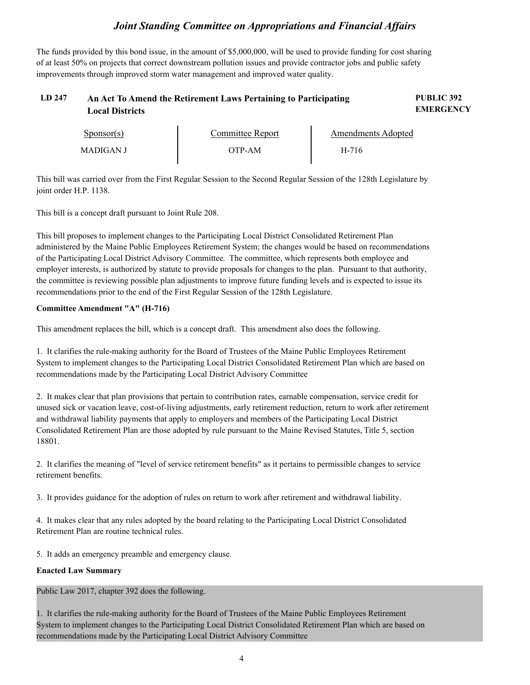The funds provided by this bond issue, in the amount of \$5,000,000, will be used to provide funding for cost sharing of at least 50% on projects that correct downstream pollution issues and provide contractor jobs and public safety improvements through improved storm water management and improved water quality.

#### **LD 247 PUBLIC 392 An Act To Amend the Retirement Laws Pertaining to Participating EMERGENCY Local Districts**

| Sponsor(s)       | Committee Report | Amendments Adopted |  |
|------------------|------------------|--------------------|--|
| <b>MADIGAN J</b> | OTP-AM           | H-716              |  |

This bill was carried over from the First Regular Session to the Second Regular Session of the 128th Legislature by

joint order H.P. 1138. This bill is a concept draft pursuant to Joint Rule 208.

This bill proposes to implement changes to the Participating Local District Consolidated Retirement Plan administered by the Maine Public Employees Retirement System; the changes would be based on recommendations of the Participating Local District Advisory Committee. The committee, which represents both employee and employer interests, is authorized by statute to provide proposals for changes to the plan. Pursuant to that authority, the committee is reviewing possible plan adjustments to improve future funding levels and is expected to issue its recommendations prior to the end of the First Regular Session of the 128th Legislature.

## **Committee Amendment "A" (H-716)**

This amendment replaces the bill, which is a concept draft. This amendment also does the following.

1. It clarifies the rule-making authority for the Board of Trustees of the Maine Public Employees Retirement System to implement changes to the Participating Local District Consolidated Retirement Plan which are based on recommendations made by the Participating Local District Advisory Committee

2. It makes clear that plan provisions that pertain to contribution rates, earnable compensation, service credit for unused sick or vacation leave, cost-of-living adjustments, early retirement reduction, return to work after retirement and withdrawal liability payments that apply to employers and members of the Participating Local District Consolidated Retirement Plan are those adopted by rule pursuant to the Maine Revised Statutes, Title 5, section 18801.

2. It clarifies the meaning of "level of service retirement benefits" as it pertains to permissible changes to service retirement benefits.

3. It provides guidance for the adoption of rules on return to work after retirement and withdrawal liability.

4. It makes clear that any rules adopted by the board relating to the Participating Local District Consolidated Retirement Plan are routine technical rules.

5. It adds an emergency preamble and emergency clause.

### **Enacted Law Summary**

Public Law 2017, chapter 392 does the following.

1. It clarifies the rule-making authority for the Board of Trustees of the Maine Public Employees Retirement System to implement changes to the Participating Local District Consolidated Retirement Plan which are based on recommendations made by the Participating Local District Advisory Committee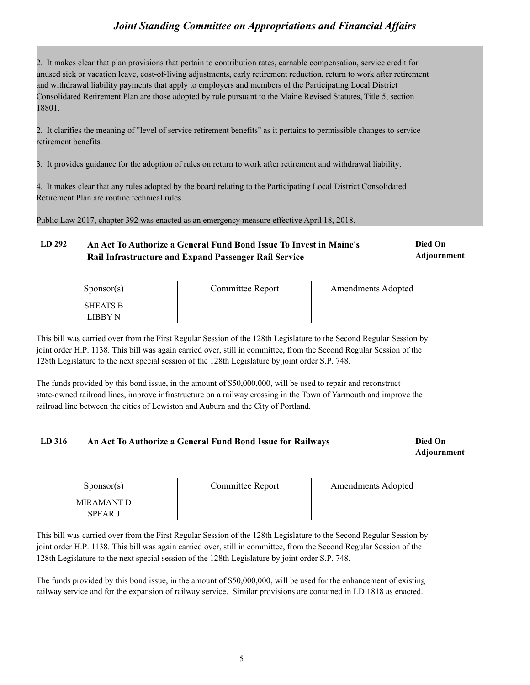2. It makes clear that plan provisions that pertain to contribution rates, earnable compensation, service credit for unused sick or vacation leave, cost-of-living adjustments, early retirement reduction, return to work after retirement and withdrawal liability payments that apply to employers and members of the Participating Local District Consolidated Retirement Plan are those adopted by rule pursuant to the Maine Revised Statutes, Title 5, section 18801.

2. It clarifies the meaning of "level of service retirement benefits" as it pertains to permissible changes to service retirement benefits.

3. It provides guidance for the adoption of rules on return to work after retirement and withdrawal liability.

4. It makes clear that any rules adopted by the board relating to the Participating Local District Consolidated Retirement Plan are routine technical rules.

Public Law 2017, chapter 392 was enacted as an emergency measure effective April 18, 2018.

#### **LD 292 Died On An Act To Authorize a General Fund Bond Issue To Invest in Maine's Adjournment Rail Infrastructure and Expand Passenger Rail Service**

| $S_{\text{PONSOT}}(s)$ | Committee Report | <b>Amendments Adopted</b> |  |
|------------------------|------------------|---------------------------|--|
| <b>SHEATS B</b>        |                  |                           |  |
| LIBBY N                |                  |                           |  |

This bill was carried over from the First Regular Session of the 128th Legislature to the Second Regular Session by joint order H.P. 1138. This bill was again carried over, still in committee, from the Second Regular Session of the 128th Legislature to the next special session of the 128th Legislature by joint order S.P. 748.

The funds provided by this bond issue, in the amount of \$50,000,000, will be used to repair and reconstruct state-owned railroad lines, improve infrastructure on a railway crossing in the Town of Yarmouth and improve the railroad line between the cities of Lewiston and Auburn and the City of Portland.

### **LD 316 Died On An Act To Authorize a General Fund Bond Issue for Railways Adjournment**

| $S_{\text{DONSOT}}(s)$ | <b>Committee Report</b> | Amendments Adopted |  |
|------------------------|-------------------------|--------------------|--|
| MIRAMANT D<br>SPEAR J  |                         |                    |  |

This bill was carried over from the First Regular Session of the 128th Legislature to the Second Regular Session by joint order H.P. 1138. This bill was again carried over, still in committee, from the Second Regular Session of the 128th Legislature to the next special session of the 128th Legislature by joint order S.P. 748.

The funds provided by this bond issue, in the amount of \$50,000,000, will be used for the enhancement of existing railway service and for the expansion of railway service. Similar provisions are contained in LD 1818 as enacted.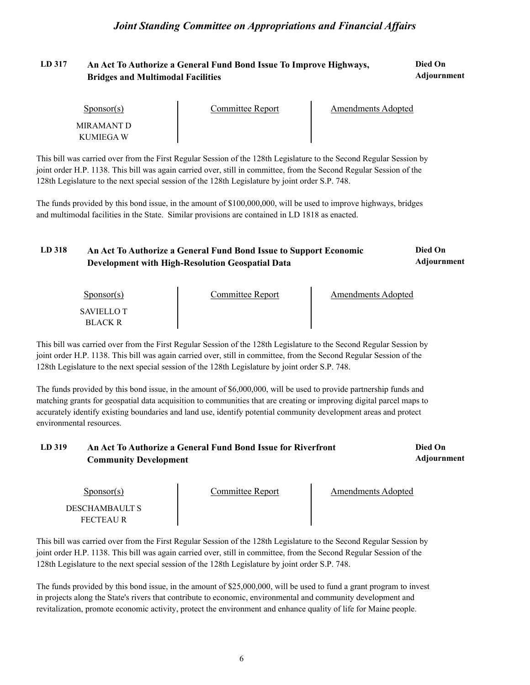# **LD 317 Died On An Act To Authorize a General Fund Bond Issue To Improve Highways, Bridges and Multimodal Facilities Adjournment**

| $S_{\text{DON}(\text{S})}$ | Committee Report | Amendments Adopted |  |
|----------------------------|------------------|--------------------|--|
| MIRAMANT D                 |                  |                    |  |
| KUMIEGA W                  |                  |                    |  |

This bill was carried over from the First Regular Session of the 128th Legislature to the Second Regular Session by joint order H.P. 1138. This bill was again carried over, still in committee, from the Second Regular Session of the 128th Legislature to the next special session of the 128th Legislature by joint order S.P. 748.

The funds provided by this bond issue, in the amount of \$100,000,000, will be used to improve highways, bridges and multimodal facilities in the State. Similar provisions are contained in LD 1818 as enacted.

| LD 318 | An Act To Authorize a General Fund Bond Issue to Support Economic | Died On     |
|--------|-------------------------------------------------------------------|-------------|
|        | Development with High-Resolution Geospatial Data                  | Adjournment |

| Sponsor(s)                   | Committee Report | <b>Amendments Adopted</b> |  |
|------------------------------|------------------|---------------------------|--|
| SAVIELLO T<br><b>BLACK R</b> |                  |                           |  |

This bill was carried over from the First Regular Session of the 128th Legislature to the Second Regular Session by joint order H.P. 1138. This bill was again carried over, still in committee, from the Second Regular Session of the 128th Legislature to the next special session of the 128th Legislature by joint order S.P. 748.

The funds provided by this bond issue, in the amount of \$6,000,000, will be used to provide partnership funds and matching grants for geospatial data acquisition to communities that are creating or improving digital parcel maps to accurately identify existing boundaries and land use, identify potential community development areas and protect environmental resources.

#### **LD 319 Died On An Act To Authorize a General Fund Bond Issue for Riverfront Adjournment Community Development**

| Sponsor(s)                  | Committee Report | Amendments Adopted |  |
|-----------------------------|------------------|--------------------|--|
| DESCHAMBAULT S<br>FECTEAU R |                  |                    |  |

This bill was carried over from the First Regular Session of the 128th Legislature to the Second Regular Session by joint order H.P. 1138. This bill was again carried over, still in committee, from the Second Regular Session of the 128th Legislature to the next special session of the 128th Legislature by joint order S.P. 748.

The funds provided by this bond issue, in the amount of \$25,000,000, will be used to fund a grant program to invest in projects along the State's rivers that contribute to economic, environmental and community development and revitalization, promote economic activity, protect the environment and enhance quality of life for Maine people.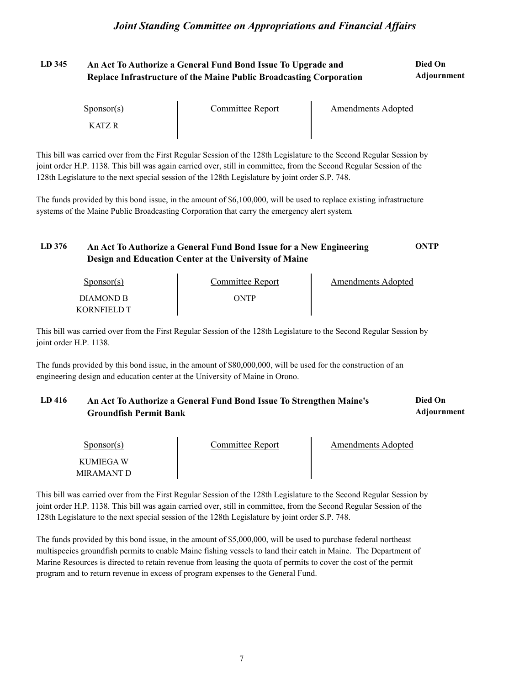#### LD 345 An Act To Authorize a General Fund Bond Issue To Upgrade and **Died On Adjournment Replace Infrastructure of the Maine Public Broadcasting Corporation**

| $S_{\text{PON}(\text{S})}$ | Committee Report | Amendments Adopted |  |
|----------------------------|------------------|--------------------|--|
| 7 ATZ R                    |                  |                    |  |

This bill was carried over from the First Regular Session of the 128th Legislature to the Second Regular Session by joint order H.P. 1138. This bill was again carried over, still in committee, from the Second Regular Session of the 128th Legislature to the next special session of the 128th Legislature by joint order S.P. 748.

The funds provided by this bond issue, in the amount of \$6,100,000, will be used to replace existing infrastructure systems of the Maine Public Broadcasting Corporation that carry the emergency alert system.

# **LD 376 An Act To Authorize a General Fund Bond Issue for a New Engineering ONTP Design and Education Center at the University of Maine**

| Sponsor(s)  | Committee Report | Amendments Adopted |  |
|-------------|------------------|--------------------|--|
| DIAMOND B   | <b>ONTP</b>      |                    |  |
| KORNFIELD T |                  |                    |  |

This bill was carried over from the First Regular Session of the 128th Legislature to the Second Regular Session by joint order H.P. 1138.

The funds provided by this bond issue, in the amount of \$80,000,000, will be used for the construction of an engineering design and education center at the University of Maine in Orono.

#### **LD 416 Died On An Act To Authorize a General Fund Bond Issue To Strengthen Maine's Adjournment Groundfish Permit Bank**

| Sponsor(s)              | Committee Report | Amendments Adopted |  |
|-------------------------|------------------|--------------------|--|
| KUMIEGA W<br>MIRAMANT D |                  |                    |  |

This bill was carried over from the First Regular Session of the 128th Legislature to the Second Regular Session by joint order H.P. 1138. This bill was again carried over, still in committee, from the Second Regular Session of the 128th Legislature to the next special session of the 128th Legislature by joint order S.P. 748.

The funds provided by this bond issue, in the amount of \$5,000,000, will be used to purchase federal northeast multispecies groundfish permits to enable Maine fishing vessels to land their catch in Maine. The Department of Marine Resources is directed to retain revenue from leasing the quota of permits to cover the cost of the permit program and to return revenue in excess of program expenses to the General Fund.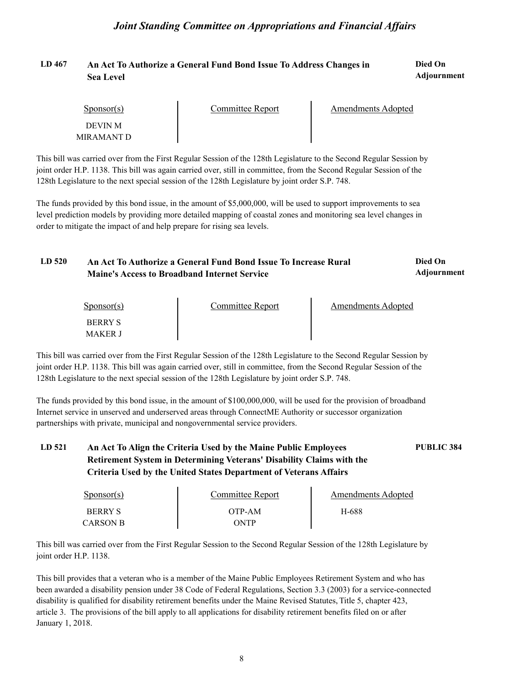#### **LD 467 Died On An Act To Authorize a General Fund Bond Issue To Address Changes in Adjournment Sea Level**

| Sponsor(s)                   | Committee Report | <b>Amendments Adopted</b> |  |
|------------------------------|------------------|---------------------------|--|
| <b>DEVIN M</b><br>MIRAMANT D |                  |                           |  |

This bill was carried over from the First Regular Session of the 128th Legislature to the Second Regular Session by joint order H.P. 1138. This bill was again carried over, still in committee, from the Second Regular Session of the 128th Legislature to the next special session of the 128th Legislature by joint order S.P. 748.

The funds provided by this bond issue, in the amount of \$5,000,000, will be used to support improvements to sea level prediction models by providing more detailed mapping of coastal zones and monitoring sea level changes in order to mitigate the impact of and help prepare for rising sea levels.

#### **LD 520 Died On An Act To Authorize a General Fund Bond Issue To Increase Rural Adjournment Maine's Access to Broadband Internet Service**

| $S_{\text{PON}(\text{S})}$       | Committee Report | <b>Amendments Adopted</b> |  |
|----------------------------------|------------------|---------------------------|--|
| <b>BERRY S</b><br><b>MAKER J</b> |                  |                           |  |

This bill was carried over from the First Regular Session of the 128th Legislature to the Second Regular Session by joint order H.P. 1138. This bill was again carried over, still in committee, from the Second Regular Session of the 128th Legislature to the next special session of the 128th Legislature by joint order S.P. 748.

The funds provided by this bond issue, in the amount of \$100,000,000, will be used for the provision of broadband Internet service in unserved and underserved areas through ConnectME Authority or successor organization partnerships with private, municipal and nongovernmental service providers.

# **LD 521 An Act To Align the Criteria Used by the Maine Public Employees PUBLIC 384 Retirement System in Determining Veterans' Disability Claims with the Criteria Used by the United States Department of Veterans Affairs**

| $S_{\text{ponsor}}(s)$ | Committee Report | Amendments Adopted |  |
|------------------------|------------------|--------------------|--|
| <b>BERRY S</b>         | OTP-AM           | H-688              |  |
| <b>CARSON B</b>        | ONTP)            |                    |  |

This bill was carried over from the First Regular Session to the Second Regular Session of the 128th Legislature by joint order H.P. 1138.<br>This bill provides that a veteran who is a member of the Maine Public Employees Retirement System and who has

been awarded a disability pension under 38 Code of Federal Regulations, Section 3.3 (2003) for a service-connected disability is qualified for disability retirement benefits under the Maine Revised Statutes, Title 5, chapter 423, article 3. The provisions of the bill apply to all applications for disability retirement benefits filed on or after January 1, 2018.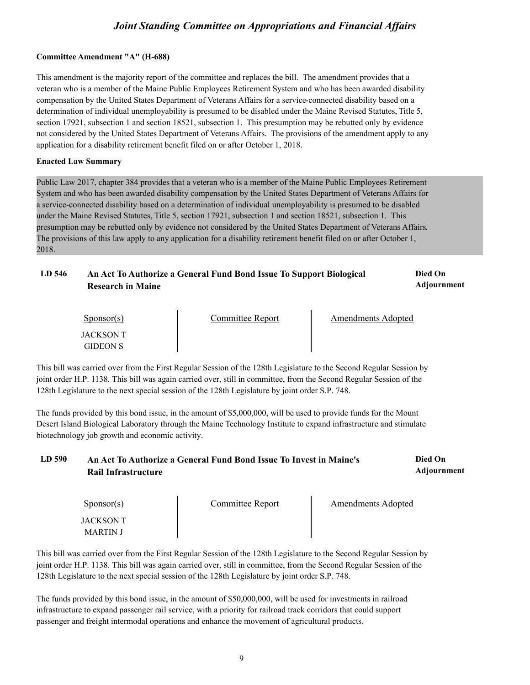### **Committee Amendment "A" (H-688)**

This amendment is the majority report of the committee and replaces the bill. The amendment provides that a veteran who is a member of the Maine Public Employees Retirement System and who has been awarded disability compensation by the United States Department of Veterans Affairs for a service-connected disability based on a determination of individual unemployability is presumed to be disabled under the Maine Revised Statutes, Title 5, section 17921, subsection 1 and section 18521, subsection 1. This presumption may be rebutted only by evidence not considered by the United States Department of Veterans Affairs. The provisions of the amendment apply to any application for a disability retirement benefit filed on or after October 1, 2018.

### **Enacted Law Summary**

Public Law 2017, chapter 384 provides that a veteran who is a member of the Maine Public Employees Retirement System and who has been awarded disability compensation by the United States Department of Veterans Affairs for a service-connected disability based on a determination of individual unemployability is presumed to be disabled under the Maine Revised Statutes, Title 5, section 17921, subsection 1 and section 18521, subsection 1. This presumption may be rebutted only by evidence not considered by the United States Department of Veterans Affairs.<br>The provisions of this law apply to any application for a disability retirement benefit filed on or after Oct 2018.

#### **LD 546 Died On An Act To Authorize a General Fund Bond Issue To Support Biological Adjournment Research in Maine**

| Sponsor(s)                          | Committee Report | Amendments Adopted |  |
|-------------------------------------|------------------|--------------------|--|
| <b>JACKSON T</b><br><b>GIDEON S</b> |                  |                    |  |

This bill was carried over from the First Regular Session of the 128th Legislature to the Second Regular Session by joint order H.P. 1138. This bill was again carried over, still in committee, from the Second Regular Session of the 128th Legislature to the next special session of the 128th Legislature by joint order S.P. 748.

The funds provided by this bond issue, in the amount of \$5,000,000, will be used to provide funds for the Mount Desert Island Biological Laboratory through the Maine Technology Institute to expand infrastructure and stimulate biotechnology job growth and economic activity.

#### **LD 590 Died On An Act To Authorize a General Fund Bond Issue To Invest in Maine's Adjournment Rail Infrastructure**

| $S_{\text{PONSOT}}(s)$ | <b>Committee Report</b> | <b>Amendments Adopted</b> |  |
|------------------------|-------------------------|---------------------------|--|
| JACKSON T<br>MARTIN J  |                         |                           |  |

This bill was carried over from the First Regular Session of the 128th Legislature to the Second Regular Session by joint order H.P. 1138. This bill was again carried over, still in committee, from the Second Regular Session of the 128th Legislature to the next special session of the 128th Legislature by joint order S.P. 748.

The funds provided by this bond issue, in the amount of \$50,000,000, will be used for investments in railroad infrastructure to expand passenger rail service, with a priority for railroad track corridors that could support passenger and freight intermodal operations and enhance the movement of agricultural products.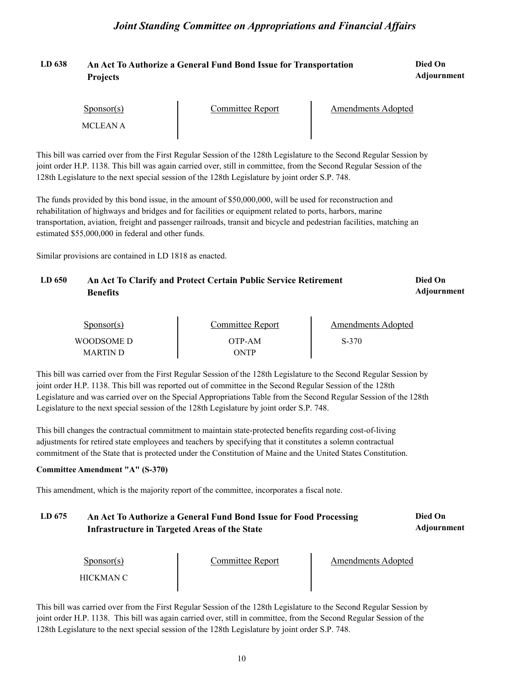#### **LD 638 Died On An Act To Authorize a General Fund Bond Issue for Transportation Adjournment Projects**

| $S_{\text{PON}(\text{S})}$ | Committee Report | <b>Amendments Adopted</b> |  |
|----------------------------|------------------|---------------------------|--|
| MCLEAN A                   |                  |                           |  |

This bill was carried over from the First Regular Session of the 128th Legislature to the Second Regular Session by joint order H.P. 1138. This bill was again carried over, still in committee, from the Second Regular Session of the 128th Legislature to the next special session of the 128th Legislature by joint order S.P. 748.

The funds provided by this bond issue, in the amount of \$50,000,000, will be used for reconstruction and rehabilitation of highways and bridges and for facilities or equipment related to ports, harbors, marine transportation, aviation, freight and passenger railroads, transit and bicycle and pedestrian facilities, matching an estimated \$55,000,000 in federal and other funds.

Similar provisions are contained in LD 1818 as enacted.

#### LD 650 **An Act To Clarify and Protect Certain Public Service Retirement <b>Died On Adjournment Benefits**

| $S_{\text{PON}(\text{S})}$ | Committee Report | Amendments Adopted |  |
|----------------------------|------------------|--------------------|--|
| WOODSOME D                 | OTP-AM           | S-370              |  |
| <b>MARTIN D</b>            | ONTP             |                    |  |

This bill was carried over from the First Regular Session of the 128th Legislature to the Second Regular Session by joint order H.P. 1138. This bill was reported out of committee in the Second Regular Session of the 128th Legislature and was carried over on the Special Appropriations Table from the Second Regular Session of the 128th Legislature to the next special session of the 128th Legislature by joint order S.P. 748.

This bill changes the contractual commitment to maintain state-protected benefits regarding cost-of-living adjustments for retired state employees and teachers by specifying that it constitutes a solemn contractual commitment of the State that is protected under the Constitution of Maine and the United States Constitution.

### **Committee Amendment "A" (S-370)**

This amendment, which is the majority report of the committee, incorporates a fiscal note.

#### **LD 675 Died On An Act To Authorize a General Fund Bond Issue for Food Processing Adjournment Infrastructure in Targeted Areas of the State**

Sponsor(s)

Sponsor(s) Committee Report<br>HICKMAN C

**Amendments Adopted** 

This bill was carried over from the First Regular Session of the 128th Legislature to the Second Regular Session by joint order H.P. 1138. This bill was again carried over, still in committee, from the Second Regular Session of the 128th Legislature to the next special session of the 128th Legislature by joint order S.P. 748.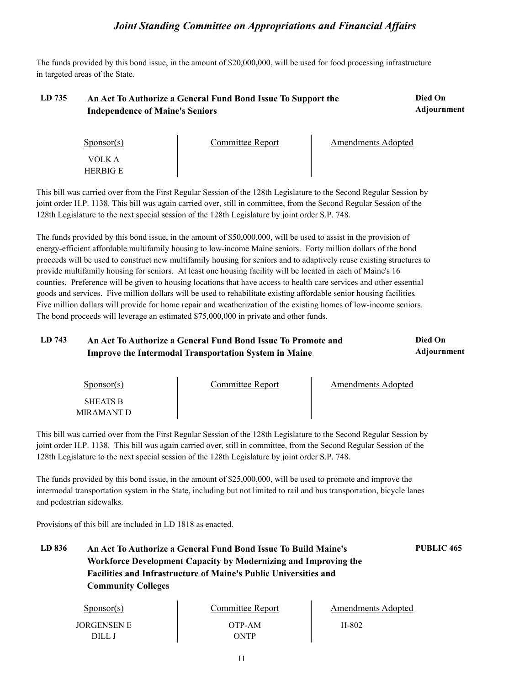The funds provided by this bond issue, in the amount of \$20,000,000, will be used for food processing infrastructure in targeted areas of the State.

#### LD 735 An Act To Authorize a General Fund Bond Issue To Support the **Died On Adjournment Independence of Maine's Seniors**

| $S_{\text{DONSOT}}(s)$    | <b>Committee Report</b> | <b>Amendments Adopted</b> |  |
|---------------------------|-------------------------|---------------------------|--|
| VOLK A<br><b>HERBIG E</b> |                         |                           |  |

This bill was carried over from the First Regular Session of the 128th Legislature to the Second Regular Session by joint order H.P. 1138. This bill was again carried over, still in committee, from the Second Regular Session of the 128th Legislature to the next special session of the 128th Legislature by joint order S.P. 748.

The funds provided by this bond issue, in the amount of \$50,000,000, will be used to assist in the provision of energy-efficient affordable multifamily housing to low-income Maine seniors. Forty million dollars of the bond proceeds will be used to construct new multifamily housing for seniors and to adaptively reuse existing structures to provide multifamily housing for seniors. At least one housing facility will be located in each of Maine's 16 counties. Preference will be given to housing locations that have access to health care services and other essential goods and services. Five million dollars will be used to rehabilitate existing affordable senior housing facilities.<br>Five million dollars will provide for home repair and weatherization of the existing homes of low-income The bond proceeds will leverage an estimated \$75,000,000 in private and other funds.

#### LD 743 An Act To Authorize a General Fund Bond Issue To Promote and **Died On Adjournment Improve the Intermodal Transportation System in Maine**

Sponsor(s) SHEATS B MIRAMANT D Committee Report Fig. 2. Amendments Adopted

This bill was carried over from the First Regular Session of the 128th Legislature to the Second Regular Session by joint order H.P. 1138. This bill was again carried over, still in committee, from the Second Regular Session of the 128th Legislature to the next special session of the 128th Legislature by joint order S.P. 748.

The funds provided by this bond issue, in the amount of \$25,000,000, will be used to promote and improve the intermodal transportation system in the State, including but not limited to rail and bus transportation, bicycle lanes and pedestrian sidewalks.

Provisions of this bill are included in LD 1818 as enacted.

**LD 836 An Act To Authorize a General Fund Bond Issue To Build Maine's PUBLIC 465 Workforce Development Capacity by Modernizing and Improving the Facilities and Infrastructure of Maine's Public Universities and Community Colleges**

| Sponsor(s)  | Committee Report | Amendments Adopted |  |
|-------------|------------------|--------------------|--|
| JORGENSEN E | OTP-AM           | H-802              |  |
| DILL J      | ONTP             |                    |  |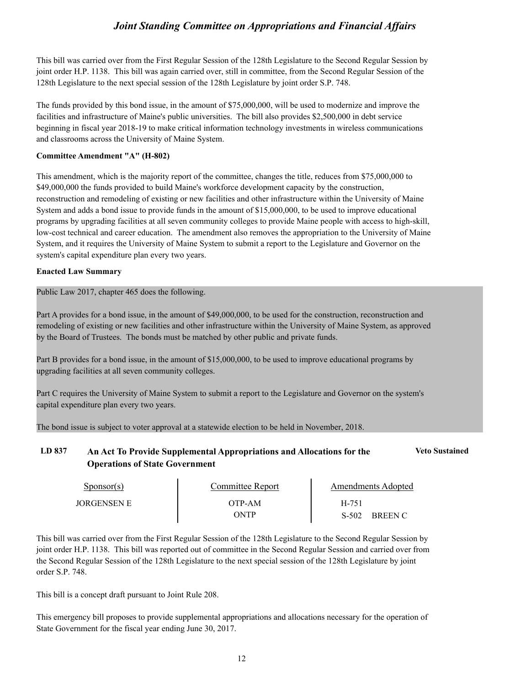This bill was carried over from the First Regular Session of the 128th Legislature to the Second Regular Session by joint order H.P. 1138. This bill was again carried over, still in committee, from the Second Regular Session of the 128th Legislature to the next special session of the 128th Legislature by joint order S.P. 748.

The funds provided by this bond issue, in the amount of \$75,000,000, will be used to modernize and improve the facilities and infrastructure of Maine's public universities. The bill also provides \$2,500,000 in debt service beginning in fiscal year 2018-19 to make critical information technology investments in wireless communications and classrooms across the University of Maine System.

### **Committee Amendment "A" (H-802)**

This amendment, which is the majority report of the committee, changes the title, reduces from \$75,000,000 to \$49,000,000 the funds provided to build Maine's workforce development capacity by the construction, reconstruction and remodeling of existing or new facilities and other infrastructure within the University of Maine System and adds a bond issue to provide funds in the amount of \$15,000,000, to be used to improve educational programs by upgrading facilities at all seven community colleges to provide Maine people with access to high-skill, low-cost technical and career education. The amendment also removes the appropriation to the University of Maine System, and it requires the University of Maine System to submit a report to the Legislature and Governor on the system's capital expenditure plan every two years.

### **Enacted Law Summary**

Public Law 2017, chapter 465 does the following.

Part A provides for a bond issue, in the amount of \$49,000,000, to be used for the construction, reconstruction and remodeling of existing or new facilities and other infrastructure within the University of Maine System, as approved by the Board of Trustees. The bonds must be matched by other public and private funds.

Part B provides for a bond issue, in the amount of \$15,000,000, to be used to improve educational programs by upgrading facilities at all seven community colleges.

Part C requires the University of Maine System to submit a report to the Legislature and Governor on the system's capital expenditure plan every two years.

The bond issue is subject to voter approval at a statewide election to be held in November, 2018.

# **LD 837 An Act To Provide Supplemental Appropriations and Allocations for the Veto Sustained Operations of State Government**

| Sponsor(s)         | Committee Report | <b>Amendments Adopted</b> |
|--------------------|------------------|---------------------------|
| <b>JORGENSEN E</b> | OTP-AM           | H-751                     |
|                    | ONTP             | S-502<br><b>BREEN C</b>   |

This bill was carried over from the First Regular Session of the 128th Legislature to the Second Regular Session by joint order H.P. 1138. This bill was reported out of committee in the Second Regular Session and carried over from the Second Regular Session of the 128th Legislature to the next special session of the 128th Legislature by joint order S.P. 748.

This bill is a concept draft pursuant to Joint Rule 208.

This emergency bill proposes to provide supplemental appropriations and allocations necessary for the operation of State Government for the fiscal year ending June 30, 2017.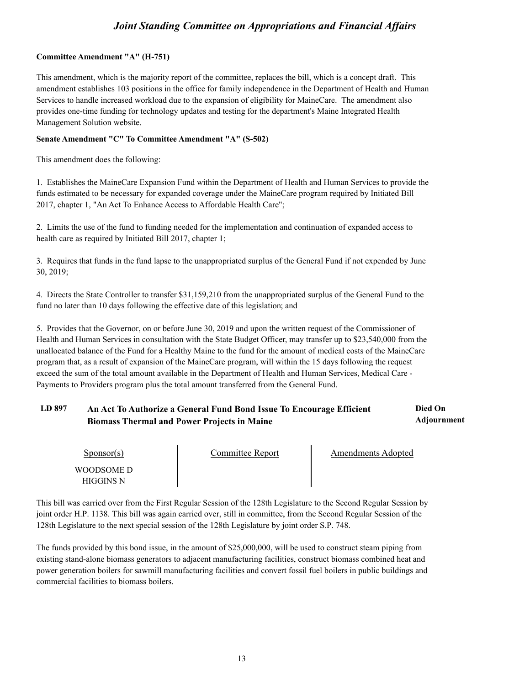### **Committee Amendment "A" (H-751)**

This amendment, which is the majority report of the committee, replaces the bill, which is a concept draft. This amendment establishes 103 positions in the office for family independence in the Department of Health and Human Services to handle increased workload due to the expansion of eligibility for MaineCare. The amendment also provides one-time funding for technology updates and testing for the department's Maine Integrated Health Management Solution website.

### **Senate Amendment "C" To Committee Amendment "A" (S-502)**

This amendment does the following:

1. Establishes the MaineCare Expansion Fund within the Department of Health and Human Services to provide the funds estimated to be necessary for expanded coverage under the MaineCare program required by Initiated Bill 2017, chapter 1, "An Act To Enhance Access to Affordable Health Care";

2. Limits the use of the fund to funding needed for the implementation and continuation of expanded access to health care as required by Initiated Bill 2017, chapter 1;

3. Requires that funds in the fund lapse to the unappropriated surplus of the General Fund if not expended by June 30, 2019;

4. Directs the State Controller to transfer \$31,159,210 from the unappropriated surplus of the General Fund to the fund no later than 10 days following the effective date of this legislation; and

5. Provides that the Governor, on or before June 30, 2019 and upon the written request of the Commissioner of Health and Human Services in consultation with the State Budget Officer, may transfer up to \$23,540,000 from the unallocated balance of the Fund for a Healthy Maine to the fund for the amount of medical costs of the MaineCare program that, as a result of expansion of the MaineCare program, will within the 15 days following the request exceed the sum of the total amount available in the Department of Health and Human Services, Medical Care - Payments to Providers program plus the total amount transferred from the General Fund.

#### **LD 897 Died On An Act To Authorize a General Fund Bond Issue To Encourage Efficient Adjournment Biomass Thermal and Power Projects in Maine**

| $S_{\text{ponsor}(s)}$  | Committee Report | Amendments Adopted |  |
|-------------------------|------------------|--------------------|--|
| WOODSOME D<br>HIGGINS N |                  |                    |  |

This bill was carried over from the First Regular Session of the 128th Legislature to the Second Regular Session by joint order H.P. 1138. This bill was again carried over, still in committee, from the Second Regular Session of the 128th Legislature to the next special session of the 128th Legislature by joint order S.P. 748.

The funds provided by this bond issue, in the amount of \$25,000,000, will be used to construct steam piping from existing stand-alone biomass generators to adjacent manufacturing facilities, construct biomass combined heat and power generation boilers for sawmill manufacturing facilities and convert fossil fuel boilers in public buildings and commercial facilities to biomass boilers.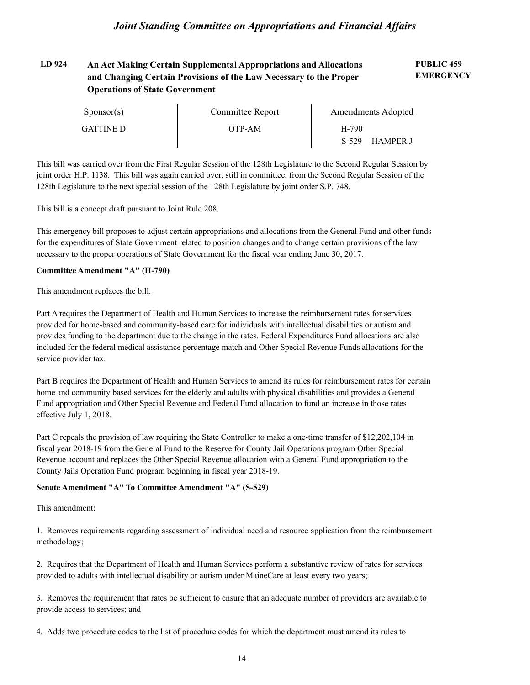#### **LD 924 PUBLIC 459 An Act Making Certain Supplemental Appropriations and Allocations EMERGENCY and Changing Certain Provisions of the Law Necessary to the Proper Operations of State Government**

| $S_{\text{PON}(\text{S})}$ | Committee Report | Amendments Adopted         |  |
|----------------------------|------------------|----------------------------|--|
| GATTINE D                  | OTP-AM           | H-790                      |  |
|                            |                  | $S-529$<br><b>HAMPER J</b> |  |

This bill was carried over from the First Regular Session of the 128th Legislature to the Second Regular Session by joint order H.P. 1138. This bill was again carried over, still in committee, from the Second Regular Session of the 128th Legislature to the next special session of the 128th Legislature by joint order S.P. 748.

This bill is a concept draft pursuant to Joint Rule 208.

This emergency bill proposes to adjust certain appropriations and allocations from the General Fund and other funds for the expenditures of State Government related to position changes and to change certain provisions of the law necessary to the proper operations of State Government for the fiscal year ending June 30, 2017.

### **Committee Amendment "A" (H-790)**

This amendment replaces the bill.

Part A requires the Department of Health and Human Services to increase the reimbursement rates for services provided for home-based and community-based care for individuals with intellectual disabilities or autism and provides funding to the department due to the change in the rates. Federal Expenditures Fund allocations are also included for the federal medical assistance percentage match and Other Special Revenue Funds allocations for the service provider tax.

Part B requires the Department of Health and Human Services to amend its rules for reimbursement rates for certain home and community based services for the elderly and adults with physical disabilities and provides a General Fund appropriation and Other Special Revenue and Federal Fund allocation to fund an increase in those rates effective July 1, 2018.

Part C repeals the provision of law requiring the State Controller to make a one-time transfer of \$12,202,104 in fiscal year 2018-19 from the General Fund to the Reserve for County Jail Operations program Other Special Revenue account and replaces the Other Special Revenue allocation with a General Fund appropriation to the County Jails Operation Fund program beginning in fiscal year 2018-19.

### **Senate Amendment "A" To Committee Amendment "A" (S-529)**

This amendment:

1. Removes requirements regarding assessment of individual need and resource application from the reimbursement methodology;

2. Requires that the Department of Health and Human Services perform a substantive review of rates for services provided to adults with intellectual disability or autism under MaineCare at least every two years;

3. Removes the requirement that rates be sufficient to ensure that an adequate number of providers are available to provide access to services; and

4. Adds two procedure codes to the list of procedure codes for which the department must amend its rules to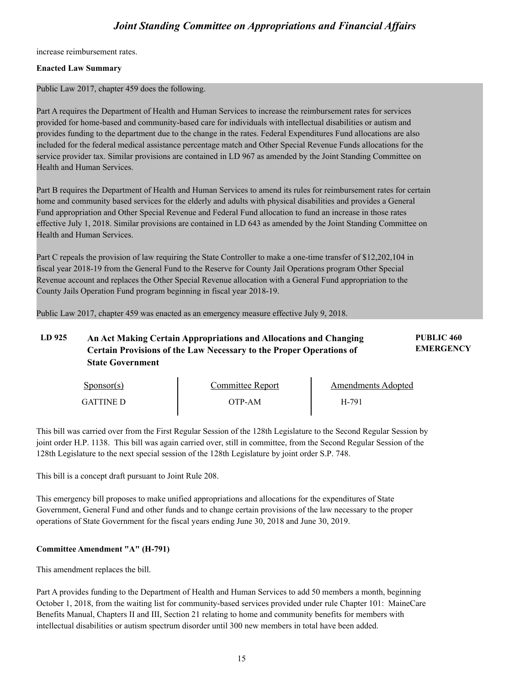increase reimbursement rates.

### **Enacted Law Summary**

Public Law 2017, chapter 459 does the following.

Part A requires the Department of Health and Human Services to increase the reimbursement rates for services provided for home-based and community-based care for individuals with intellectual disabilities or autism and provides funding to the department due to the change in the rates. Federal Expenditures Fund allocations are also included for the federal medical assistance percentage match and Other Special Revenue Funds allocations for the service provider tax. Similar provisions are contained in LD 967 as amended by the Joint Standing Committee on Health and Human Services.

Part B requires the Department of Health and Human Services to amend its rules for reimbursement rates for certain home and community based services for the elderly and adults with physical disabilities and provides a General Fund appropriation and Other Special Revenue and Federal Fund allocation to fund an increase in those rates effective July 1, 2018. Similar provisions are contained in LD 643 as amended by the Joint Standing Committee on Health and Human Services.

Part C repeals the provision of law requiring the State Controller to make a one-time transfer of \$12,202,104 in fiscal year 2018-19 from the General Fund to the Reserve for County Jail Operations program Other Special Revenue account and replaces the Other Special Revenue allocation with a General Fund appropriation to the County Jails Operation Fund program beginning in fiscal year 2018-19.

Public Law 2017, chapter 459 was enacted as an emergency measure effective July 9, 2018.

#### **LD 925 PUBLIC 460 An Act Making Certain Appropriations and Allocations and Changing EMERGENCY Certain Provisions of the Law Necessary to the Proper Operations of State Government**

| Sponsor(s)       | Committee Report | Amendments Adopted |  |
|------------------|------------------|--------------------|--|
| <b>GATTINE D</b> | ЭТР-АМ           | H-791              |  |

This bill was carried over from the First Regular Session of the 128th Legislature to the Second Regular Session by joint order H.P. 1138. This bill was again carried over, still in committee, from the Second Regular Session of the 128th Legislature to the next special session of the 128th Legislature by joint order S.P. 748.

This bill is a concept draft pursuant to Joint Rule 208.

This emergency bill proposes to make unified appropriations and allocations for the expenditures of State Government, General Fund and other funds and to change certain provisions of the law necessary to the proper operations of State Government for the fiscal years ending June 30, 2018 and June 30, 2019.

### **Committee Amendment "A" (H-791)**

This amendment replaces the bill.

Part A provides funding to the Department of Health and Human Services to add 50 members a month, beginning October 1, 2018, from the waiting list for community-based services provided under rule Chapter 101: MaineCare Benefits Manual, Chapters II and III, Section 21 relating to home and community benefits for members with intellectual disabilities or autism spectrum disorder until 300 new members in total have been added.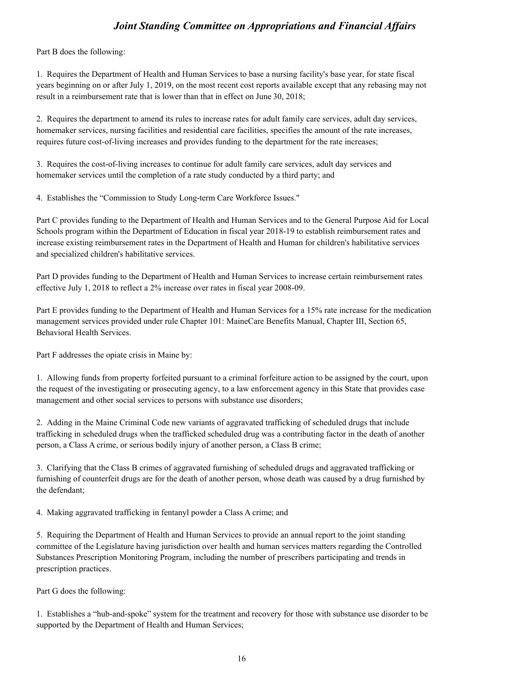Part B does the following:

1. Requires the Department of Health and Human Services to base a nursing facility's base year, for state fiscal years beginning on or after July 1, 2019, on the most recent cost reports available except that any rebasing may not result in a reimbursement rate that is lower than that in effect on June 30, 2018;

2. Requires the department to amend its rules to increase rates for adult family care services, adult day services, homemaker services, nursing facilities and residential care facilities, specifies the amount of the rate increases, requires future cost-of-living increases and provides funding to the department for the rate increases;

3. Requires the cost-of-living increases to continue for adult family care services, adult day services and homemaker services until the completion of a rate study conducted by a third party; and

4. Establishes the "Commission to Study Long-term Care Workforce Issues."

Part C provides funding to the Department of Health and Human Services and to the General Purpose Aid for Local Schools program within the Department of Education in fiscal year 2018-19 to establish reimbursement rates and increase existing reimbursement rates in the Department of Health and Human for children's habilitative services and specialized children's habilitative services.

Part D provides funding to the Department of Health and Human Services to increase certain reimbursement rates effective July 1, 2018 to reflect a 2% increase over rates in fiscal year 2008-09.

Part E provides funding to the Department of Health and Human Services for a 15% rate increase for the medication management services provided under rule Chapter 101: MaineCare Benefits Manual, Chapter III, Section 65, Behavioral Health Services.

Part F addresses the opiate crisis in Maine by:

1. Allowing funds from property forfeited pursuant to a criminal forfeiture action to be assigned by the court, upon the request of the investigating or prosecuting agency, to a law enforcement agency in this State that provides case management and other social services to persons with substance use disorders;

2. Adding in the Maine Criminal Code new variants of aggravated trafficking of scheduled drugs that include trafficking in scheduled drugs when the trafficked scheduled drug was a contributing factor in the death of another person, a Class A crime, or serious bodily injury of another person, a Class B crime;

3. Clarifying that the Class B crimes of aggravated furnishing of scheduled drugs and aggravated trafficking or furnishing of counterfeit drugs are for the death of another person, whose death was caused by a drug furnished by the defendant;

4. Making aggravated trafficking in fentanyl powder a Class A crime; and

5. Requiring the Department of Health and Human Services to provide an annual report to the joint standing committee of the Legislature having jurisdiction over health and human services matters regarding the Controlled Substances Prescription Monitoring Program, including the number of prescribers participating and trends in prescription practices.

Part G does the following:

1. Establishes a "hub-and-spoke" system for the treatment and recovery for those with substance use disorder to be supported by the Department of Health and Human Services;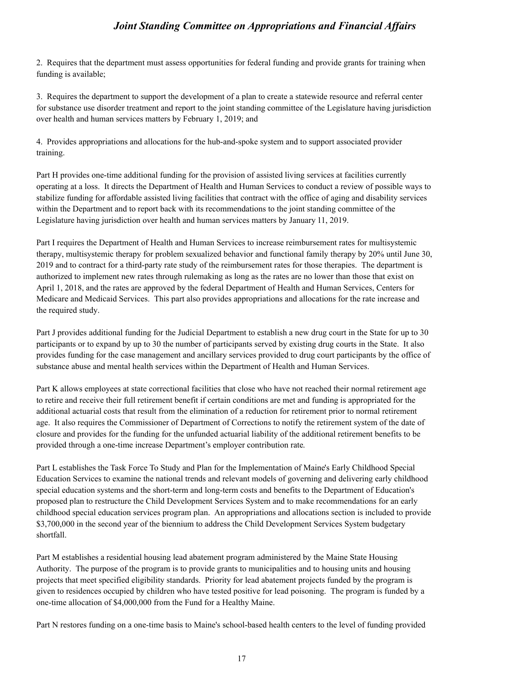2. Requires that the department must assess opportunities for federal funding and provide grants for training when funding is available;

3. Requires the department to support the development of a plan to create a statewide resource and referral center for substance use disorder treatment and report to the joint standing committee of the Legislature having jurisdiction over health and human services matters by February 1, 2019; and

4. Provides appropriations and allocations for the hub-and-spoke system and to support associated provider training.

Part H provides one-time additional funding for the provision of assisted living services at facilities currently operating at a loss. It directs the Department of Health and Human Services to conduct a review of possible ways to stabilize funding for affordable assisted living facilities that contract with the office of aging and disability services within the Department and to report back with its recommendations to the joint standing committee of the Legislature having jurisdiction over health and human services matters by January 11, 2019.

Part I requires the Department of Health and Human Services to increase reimbursement rates for multisystemic therapy, multisystemic therapy for problem sexualized behavior and functional family therapy by 20% until June 30, 2019 and to contract for a third-party rate study of the reimbursement rates for those therapies. The department is authorized to implement new rates through rulemaking as long as the rates are no lower than those that exist on April 1, 2018, and the rates are approved by the federal Department of Health and Human Services, Centers for Medicare and Medicaid Services. This part also provides appropriations and allocations for the rate increase and the required study.

Part J provides additional funding for the Judicial Department to establish a new drug court in the State for up to 30 participants or to expand by up to 30 the number of participants served by existing drug courts in the State. It also provides funding for the case management and ancillary services provided to drug court participants by the office of substance abuse and mental health services within the Department of Health and Human Services.

Part K allows employees at state correctional facilities that close who have not reached their normal retirement age to retire and receive their full retirement benefit if certain conditions are met and funding is appropriated for the additional actuarial costs that result from the elimination of a reduction for retirement prior to normal retirement age. It also requires the Commissioner of Department of Corrections to notify the retirement system of the date of closure and provides for the funding for the unfunded actuarial liability of the additional retirement benefits to be provided through a one-time increase Department's employer contribution rate. Part L establishes the Task Force To Study and Plan for the Implementation of Maine's Early Childhood Special

Education Services to examine the national trends and relevant models of governing and delivering early childhood special education systems and the short-term and long-term costs and benefits to the Department of Education's proposed plan to restructure the Child Development Services System and to make recommendations for an early childhood special education services program plan. An appropriations and allocations section is included to provide \$3,700,000 in the second year of the biennium to address the Child Development Services System budgetary shortfall.

Part M establishes a residential housing lead abatement program administered by the Maine State Housing Authority. The purpose of the program is to provide grants to municipalities and to housing units and housing projects that meet specified eligibility standards. Priority for lead abatement projects funded by the program is given to residences occupied by children who have tested positive for lead poisoning. The program is funded by a one-time allocation of \$4,000,000 from the Fund for a Healthy Maine.

Part N restores funding on a one-time basis to Maine's school-based health centers to the level of funding provided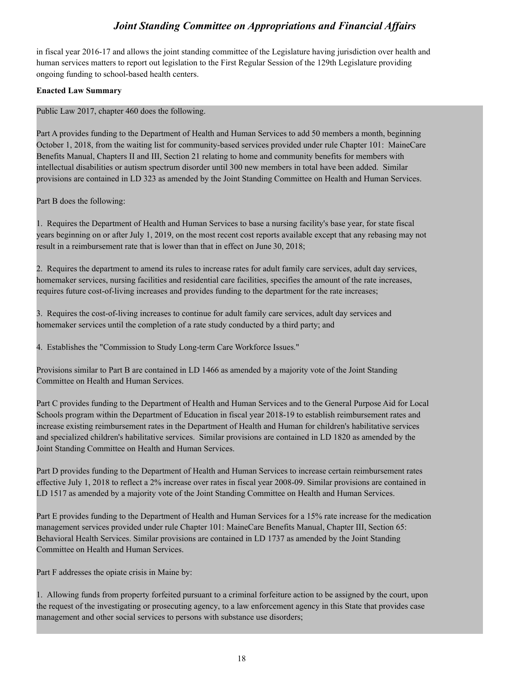in fiscal year 2016-17 and allows the joint standing committee of the Legislature having jurisdiction over health and human services matters to report out legislation to the First Regular Session of the 129th Legislature providing ongoing funding to school-based health centers.

### **Enacted Law Summary**

Public Law 2017, chapter 460 does the following.

Part A provides funding to the Department of Health and Human Services to add 50 members a month, beginning October 1, 2018, from the waiting list for community-based services provided under rule Chapter 101: MaineCare Benefits Manual, Chapters II and III, Section 21 relating to home and community benefits for members with intellectual disabilities or autism spectrum disorder until 300 new members in total have been added. Similar provisions are contained in LD 323 as amended by the Joint Standing Committee on Health and Human Services.

Part B does the following:

1. Requires the Department of Health and Human Services to base a nursing facility's base year, for state fiscal years beginning on or after July 1, 2019, on the most recent cost reports available except that any rebasing may not result in a reimbursement rate that is lower than that in effect on June 30, 2018;

2. Requires the department to amend its rules to increase rates for adult family care services, adult day services, homemaker services, nursing facilities and residential care facilities, specifies the amount of the rate increases, requires future cost-of-living increases and provides funding to the department for the rate increases;

3. Requires the cost-of-living increases to continue for adult family care services, adult day services and homemaker services until the completion of a rate study conducted by a third party; and

4. Establishes the "Commission to Study Long-term Care Workforce Issues."

Provisions similar to Part B are contained in LD 1466 as amended by a majority vote of the Joint Standing Committee on Health and Human Services.

Part C provides funding to the Department of Health and Human Services and to the General Purpose Aid for Local Schools program within the Department of Education in fiscal year 2018-19 to establish reimbursement rates and increase existing reimbursement rates in the Department of Health and Human for children's habilitative services and specialized children's habilitative services. Similar provisions are contained in LD 1820 as amended by the Joint Standing Committee on Health and Human Services.

Part D provides funding to the Department of Health and Human Services to increase certain reimbursement rates effective July 1, 2018 to reflect a 2% increase over rates in fiscal year 2008-09. Similar provisions are contained in LD 1517 as amended by a majority vote of the Joint Standing Committee on Health and Human Services.

Part E provides funding to the Department of Health and Human Services for a 15% rate increase for the medication management services provided under rule Chapter 101: MaineCare Benefits Manual, Chapter III, Section 65: Behavioral Health Services. Similar provisions are contained in LD 1737 as amended by the Joint Standing Committee on Health and Human Services.

Part F addresses the opiate crisis in Maine by:

1. Allowing funds from property forfeited pursuant to a criminal forfeiture action to be assigned by the court, upon the request of the investigating or prosecuting agency, to a law enforcement agency in this State that provides case management and other social services to persons with substance use disorders;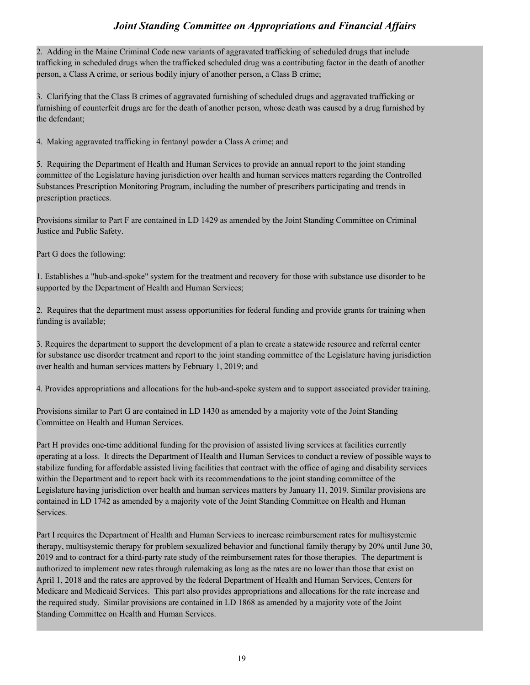2. Adding in the Maine Criminal Code new variants of aggravated trafficking of scheduled drugs that include trafficking in scheduled drugs when the trafficked scheduled drug was a contributing factor in the death of another person, a Class A crime, or serious bodily injury of another person, a Class B crime;

3. Clarifying that the Class B crimes of aggravated furnishing of scheduled drugs and aggravated trafficking or furnishing of counterfeit drugs are for the death of another person, whose death was caused by a drug furnished by the defendant;

4. Making aggravated trafficking in fentanyl powder a Class A crime; and

5. Requiring the Department of Health and Human Services to provide an annual report to the joint standing committee of the Legislature having jurisdiction over health and human services matters regarding the Controlled Substances Prescription Monitoring Program, including the number of prescribers participating and trends in prescription practices.

Provisions similar to Part F are contained in LD 1429 as amended by the Joint Standing Committee on Criminal Justice and Public Safety.

Part G does the following:

1. Establishes a "hub-and-spoke" system for the treatment and recovery for those with substance use disorder to be supported by the Department of Health and Human Services;

2. Requires that the department must assess opportunities for federal funding and provide grants for training when funding is available;

3. Requires the department to support the development of a plan to create a statewide resource and referral center for substance use disorder treatment and report to the joint standing committee of the Legislature having jurisdiction over health and human services matters by February 1, 2019; and

4. Provides appropriations and allocations for the hub-and-spoke system and to support associated provider training.

Provisions similar to Part G are contained in LD 1430 as amended by a majority vote of the Joint Standing Committee on Health and Human Services.

Part H provides one-time additional funding for the provision of assisted living services at facilities currently operating at a loss. It directs the Department of Health and Human Services to conduct a review of possible ways to stabilize funding for affordable assisted living facilities that contract with the office of aging and disability services within the Department and to report back with its recommendations to the joint standing committee of the Legislature having jurisdiction over health and human services matters by January 11, 2019. Similar provisions are contained in LD 1742 as amended by a majority vote of the Joint Standing Committee on Health and Human Services.

Part I requires the Department of Health and Human Services to increase reimbursement rates for multisystemic therapy, multisystemic therapy for problem sexualized behavior and functional family therapy by 20% until June 30, 2019 and to contract for a third-party rate study of the reimbursement rates for those therapies. The department is authorized to implement new rates through rulemaking as long as the rates are no lower than those that exist on April 1, 2018 and the rates are approved by the federal Department of Health and Human Services, Centers for Medicare and Medicaid Services. This part also provides appropriations and allocations for the rate increase and the required study. Similar provisions are contained in LD 1868 as amended by a majority vote of the Joint Standing Committee on Health and Human Services.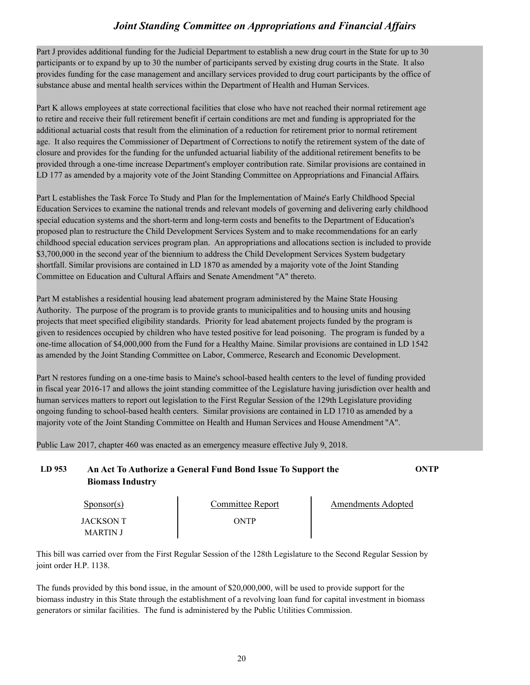Part J provides additional funding for the Judicial Department to establish a new drug court in the State for up to 30 participants or to expand by up to 30 the number of participants served by existing drug courts in the State. It also provides funding for the case management and ancillary services provided to drug court participants by the office of substance abuse and mental health services within the Department of Health and Human Services.

Part K allows employees at state correctional facilities that close who have not reached their normal retirement age to retire and receive their full retirement benefit if certain conditions are met and funding is appropriated for the additional actuarial costs that result from the elimination of a reduction for retirement prior to normal retirement age. It also requires the Commissioner of Department of Corrections to notify the retirement system of the date of closure and provides for the funding for the unfunded actuarial liability of the additional retirement benefits to be provided through a one-time increase Department's employer contribution rate. Similar provisions are contained in LD 177 as amended by a majority vote of the Joint Standing Committee on Appropriations and Financial Affairs.

Part L establishes the Task Force To Study and Plan for the Implementation of Maine's Early Childhood Special Education Services to examine the national trends and relevant models of governing and delivering early childhood special education systems and the short-term and long-term costs and benefits to the Department of Education's proposed plan to restructure the Child Development Services System and to make recommendations for an early childhood special education services program plan. An appropriations and allocations section is included to provide \$3,700,000 in the second year of the biennium to address the Child Development Services System budgetary shortfall. Similar provisions are contained in LD 1870 as amended by a majority vote of the Joint Standing Committee on Education and Cultural Affairs and Senate Amendment "A" thereto.

Part M establishes a residential housing lead abatement program administered by the Maine State Housing Authority. The purpose of the program is to provide grants to municipalities and to housing units and housing projects that meet specified eligibility standards. Priority for lead abatement projects funded by the program is given to residences occupied by children who have tested positive for lead poisoning. The program is funded by a one-time allocation of \$4,000,000 from the Fund for a Healthy Maine. Similar provisions are contained in LD 1542 as amended by the Joint Standing Committee on Labor, Commerce, Research and Economic Development.

Part N restores funding on a one-time basis to Maine's school-based health centers to the level of funding provided in fiscal year 2016-17 and allows the joint standing committee of the Legislature having jurisdiction over health and human services matters to report out legislation to the First Regular Session of the 129th Legislature providing ongoing funding to school-based health centers. Similar provisions are contained in LD 1710 as amended by a majority vote of the Joint Standing Committee on Health and Human Services and House Amendment "A".

Public Law 2017, chapter 460 was enacted as an emergency measure effective July 9, 2018.

**LD 953 An Act To Authorize a General Fund Bond Issue To Support the ONTP Biomass Industry**

| $S_{\text{ponsor}}(s)$ | Committee Report | <b>Amendments Adopted</b> |  |
|------------------------|------------------|---------------------------|--|
| JACKSON T<br>MARTIN J  | ONTP             |                           |  |

This bill was carried over from the First Regular Session of the 128th Legislature to the Second Regular Session by joint order H.P. 1138.<br>The funds provided by this bond issue, in the amount of \$20,000,000, will be used to provide support for the

biomass industry in this State through the establishment of a revolving loan fund for capital investment in biomass generators or similar facilities. The fund is administered by the Public Utilities Commission.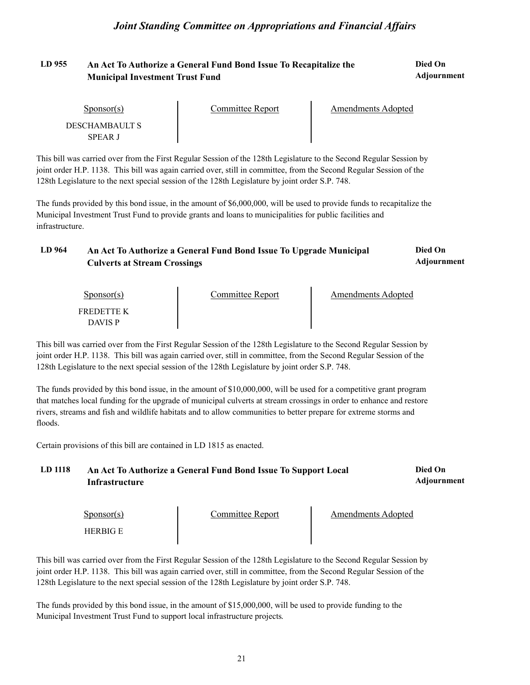# LD 955 An Act To Authorize a General Fund Bond Issue To Recapitalize the **Died On Municipal Investment Trust Fund**

**Adjournment**

| Sponsor(s)                       | Committee Report | Amendments Adopted |  |
|----------------------------------|------------------|--------------------|--|
| DESCHAMBAULT S<br><b>SPEAR J</b> |                  |                    |  |

This bill was carried over from the First Regular Session of the 128th Legislature to the Second Regular Session by joint order H.P. 1138. This bill was again carried over, still in committee, from the Second Regular Session of the 128th Legislature to the next special session of the 128th Legislature by joint order S.P. 748.

The funds provided by this bond issue, in the amount of \$6,000,000, will be used to provide funds to recapitalize the Municipal Investment Trust Fund to provide grants and loans to municipalities for public facilities and infrastructure.

| LD 964 | An Act To Authorize a General Fund Bond Issue To Upgrade Municipal | Died On     |
|--------|--------------------------------------------------------------------|-------------|
|        | <b>Culverts at Stream Crossings</b>                                | Adjournment |

| $S_{\text{ponsor}}(s)$       | Committee Report | <b>Amendments Adopted</b> |  |
|------------------------------|------------------|---------------------------|--|
| FREDETTE K<br><b>DAVIS P</b> |                  |                           |  |

This bill was carried over from the First Regular Session of the 128th Legislature to the Second Regular Session by joint order H.P. 1138. This bill was again carried over, still in committee, from the Second Regular Session of the 128th Legislature to the next special session of the 128th Legislature by joint order S.P. 748.

The funds provided by this bond issue, in the amount of \$10,000,000, will be used for a competitive grant program that matches local funding for the upgrade of municipal culverts at stream crossings in order to enhance and restore rivers, streams and fish and wildlife habitats and to allow communities to better prepare for extreme storms and floods.

Certain provisions of this bill are contained in LD 1815 as enacted.

| LD 1118 | An Act To Authorize a General Fund Bond Issue To Support Local | Died On            |
|---------|----------------------------------------------------------------|--------------------|
|         | Infrastructure                                                 | <b>Adjournment</b> |

| $S_{\text{ponsor}}(s)$ | Committee Report | Amendments Adopted |  |
|------------------------|------------------|--------------------|--|
| <b>HERBIG E</b>        |                  |                    |  |

This bill was carried over from the First Regular Session of the 128th Legislature to the Second Regular Session by joint order H.P. 1138. This bill was again carried over, still in committee, from the Second Regular Session of the 128th Legislature to the next special session of the 128th Legislature by joint order S.P. 748.

The funds provided by this bond issue, in the amount of \$15,000,000, will be used to provide funding to the Municipal Investment Trust Fund to support local infrastructure projects.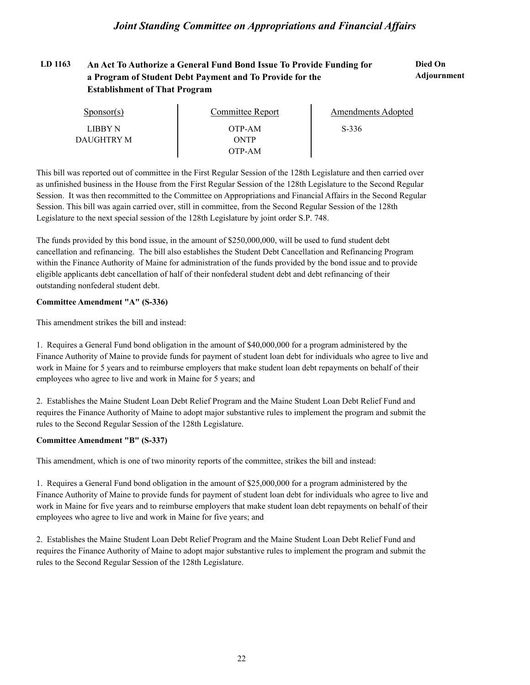#### LD 1163 An Act To Authorize a General Fund Bond Issue To Provide Funding for **Died On Adjournment a Program of Student Debt Payment and To Provide for the Establishment of That Program**

| $S_{\text{ponsor}(s)}$ | Committee Report | Amendments Adopted |  |
|------------------------|------------------|--------------------|--|
| LIBBY N                | OTP-AM           | $S-336$            |  |
| DAUGHTRY M             | ONTP             |                    |  |
|                        | OTP-AM           |                    |  |

This bill was reported out of committee in the First Regular Session of the 128th Legislature and then carried over as unfinished business in the House from the First Regular Session of the 128th Legislature to the Second Regular Session. It was then recommitted to the Committee on Appropriations and Financial Affairs in the Second Regular Session. This bill was again carried over, still in committee, from the Second Regular Session of the 128th Legislature to the next special session of the 128th Legislature by joint order S.P. 748.

The funds provided by this bond issue, in the amount of \$250,000,000, will be used to fund student debt cancellation and refinancing. The bill also establishes the Student Debt Cancellation and Refinancing Program within the Finance Authority of Maine for administration of the funds provided by the bond issue and to provide eligible applicants debt cancellation of half of their nonfederal student debt and debt refinancing of their outstanding nonfederal student debt.

### **Committee Amendment "A" (S-336)**

This amendment strikes the bill and instead:

1. Requires a General Fund bond obligation in the amount of \$40,000,000 for a program administered by the Finance Authority of Maine to provide funds for payment of student loan debt for individuals who agree to live and work in Maine for 5 years and to reimburse employers that make student loan debt repayments on behalf of their employees who agree to live and work in Maine for 5 years; and

2. Establishes the Maine Student Loan Debt Relief Program and the Maine Student Loan Debt Relief Fund and requires the Finance Authority of Maine to adopt major substantive rules to implement the program and submit the rules to the Second Regular Session of the 128th Legislature.

### **Committee Amendment "B" (S-337)**

This amendment, which is one of two minority reports of the committee, strikes the bill and instead:

1. Requires a General Fund bond obligation in the amount of \$25,000,000 for a program administered by the Finance Authority of Maine to provide funds for payment of student loan debt for individuals who agree to live and work in Maine for five years and to reimburse employers that make student loan debt repayments on behalf of their employees who agree to live and work in Maine for five years; and

2. Establishes the Maine Student Loan Debt Relief Program and the Maine Student Loan Debt Relief Fund and requires the Finance Authority of Maine to adopt major substantive rules to implement the program and submit the rules to the Second Regular Session of the 128th Legislature.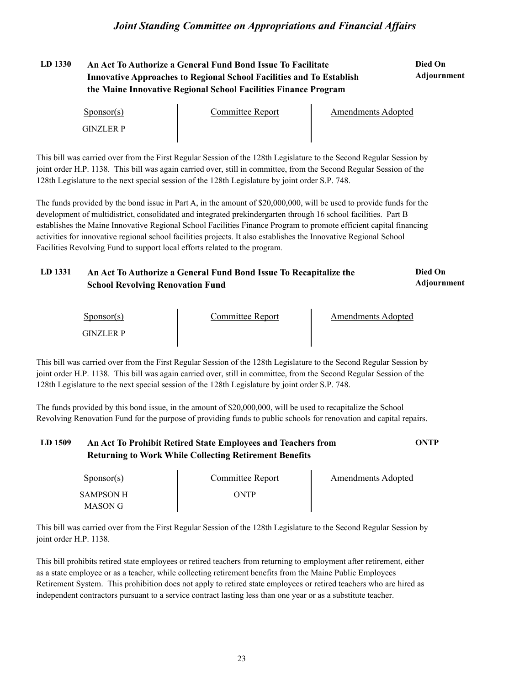# **LD 1330 Died On An Act To Authorize a General Fund Bond Issue To Facilitate Innovative Approaches to Regional School Facilities and To Establish the Maine Innovative Regional School Facilities Finance Program**

# **Adjournment**

| $S_{\text{ponsor}}(s)$ | Committee Report | <b>Amendments Adopted</b> |  |
|------------------------|------------------|---------------------------|--|
| GINZLER P              |                  |                           |  |

This bill was carried over from the First Regular Session of the 128th Legislature to the Second Regular Session by joint order H.P. 1138. This bill was again carried over, still in committee, from the Second Regular Session of the 128th Legislature to the next special session of the 128th Legislature by joint order S.P. 748.

The funds provided by the bond issue in Part A, in the amount of \$20,000,000, will be used to provide funds for the development of multidistrict, consolidated and integrated prekindergarten through 16 school facilities. Part B establishes the Maine Innovative Regional School Facilities Finance Program to promote efficient capital financing activities for innovative regional school facilities projects. It also establishes the Innovative Regional School Facilities Revolving Fund to support local efforts related to the program.

#### LD 1331 An Act To Authorize a General Fund Bond Issue To Recapitalize the **Died On Adjournment School Revolving Renovation Fund**

| $S_{\text{ponsor}(s)}$ | Committee Report | Amendments Adopted |  |
|------------------------|------------------|--------------------|--|
| <b>GINZLER P</b>       |                  |                    |  |

This bill was carried over from the First Regular Session of the 128th Legislature to the Second Regular Session by joint order H.P. 1138. This bill was again carried over, still in committee, from the Second Regular Session of the 128th Legislature to the next special session of the 128th Legislature by joint order S.P. 748.

The funds provided by this bond issue, in the amount of \$20,000,000, will be used to recapitalize the School Revolving Renovation Fund for the purpose of providing funds to public schools for renovation and capital repairs.

# **LD 1509 An Act To Prohibit Retired State Employees and Teachers from ONTP Returning to Work While Collecting Retirement Benefits**

| Sponsor(s)                  | Committee Report | Amendments Adopted |
|-----------------------------|------------------|--------------------|
| <b>SAMPSON H</b><br>MASON G | ONTP             |                    |

This bill was carried over from the First Regular Session of the 128th Legislature to the Second Regular Session by joint order H.P. 1138.

This bill prohibits retired state employees or retired teachers from returning to employment after retirement, either as a state employee or as a teacher, while collecting retirement benefits from the Maine Public Employees Retirement System. This prohibition does not apply to retired state employees or retired teachers who are hired as independent contractors pursuant to a service contract lasting less than one year or as a substitute teacher.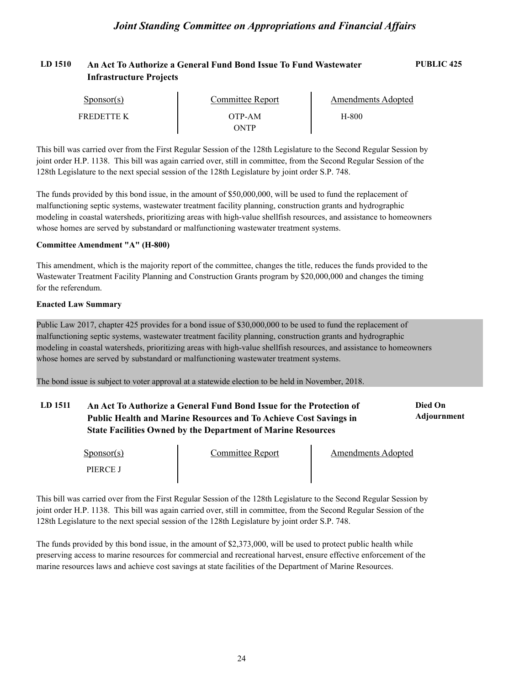## **LD 1510 An Act To Authorize a General Fund Bond Issue To Fund Wastewater PUBLIC 425 Infrastructure Projects**

| Sponsor(s) | Committee Report | Amendments Adopted |  |
|------------|------------------|--------------------|--|
| FREDETTE K | OTP-AM           | H-800              |  |
|            | NTP              |                    |  |

This bill was carried over from the First Regular Session of the 128th Legislature to the Second Regular Session by joint order H.P. 1138. This bill was again carried over, still in committee, from the Second Regular Session of the 128th Legislature to the next special session of the 128th Legislature by joint order S.P. 748.

The funds provided by this bond issue, in the amount of \$50,000,000, will be used to fund the replacement of malfunctioning septic systems, wastewater treatment facility planning, construction grants and hydrographic modeling in coastal watersheds, prioritizing areas with high-value shellfish resources, and assistance to homeowners whose homes are served by substandard or malfunctioning wastewater treatment systems.

#### **Committee Amendment "A" (H-800)**

This amendment, which is the majority report of the committee, changes the title, reduces the funds provided to the Wastewater Treatment Facility Planning and Construction Grants program by \$20,000,000 and changes the timing for the referendum.

#### **Enacted Law Summary**

Public Law 2017, chapter 425 provides for a bond issue of \$30,000,000 to be used to fund the replacement of malfunctioning septic systems, wastewater treatment facility planning, construction grants and hydrographic modeling in coastal watersheds, prioritizing areas with high-value shellfish resources, and assistance to homeowners whose homes are served by substandard or malfunctioning wastewater treatment systems.

The bond issue is subject to voter approval at a statewide election to be held in November, 2018.

#### LD 1511 An Act To Authorize a General Fund Bond Issue for the Protection of **Died On Adjournment Public Health and Marine Resources and To Achieve Cost Savings in State Facilities Owned by the Department of Marine Resources**

| $S_{\text{ponsor}}(s)$ | Committee Report | <b>Amendments Adopted</b> |  |
|------------------------|------------------|---------------------------|--|
| PIERCE J               |                  |                           |  |

This bill was carried over from the First Regular Session of the 128th Legislature to the Second Regular Session by joint order H.P. 1138. This bill was again carried over, still in committee, from the Second Regular Session of the 128th Legislature to the next special session of the 128th Legislature by joint order S.P. 748.

The funds provided by this bond issue, in the amount of \$2,373,000, will be used to protect public health while preserving access to marine resources for commercial and recreational harvest, ensure effective enforcement of the marine resources laws and achieve cost savings at state facilities of the Department of Marine Resources.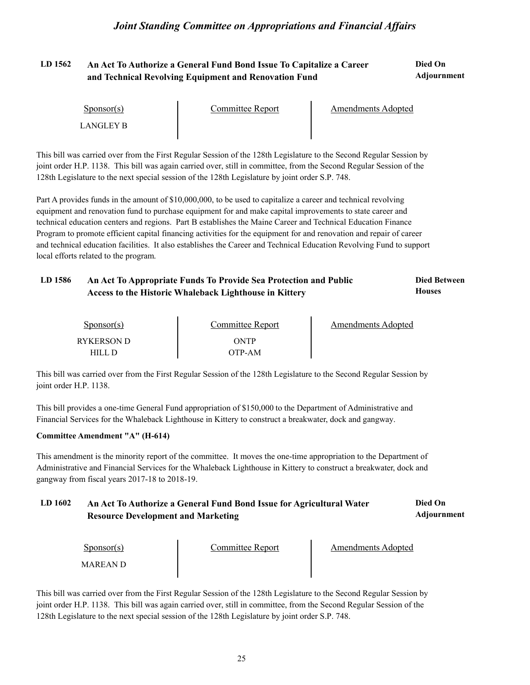#### **LD 1562 Died On An Act To Authorize a General Fund Bond Issue To Capitalize a Career Adjournment and Technical Revolving Equipment and Renovation Fund**

| $S_{\text{PON}(\text{S})}$                                                                                          | <b>Committee Report</b> | <b>Amendments Adopted</b> |
|---------------------------------------------------------------------------------------------------------------------|-------------------------|---------------------------|
| LANGLEY B                                                                                                           |                         |                           |
| This bill was carried over from the First Regular Session of the 128th Legislature to the Second Regular Session by |                         |                           |
| joint order H.P. 1138. This bill was again carried over, still in committee, from the Second Regular Session of the |                         |                           |
| 128th Legislature to the next special session of the 128th Legislature by joint order S.P. 748.                     |                         |                           |

Part A provides funds in the amount of \$10,000,000, to be used to capitalize a career and technical revolving equipment and renovation fund to purchase equipment for and make capital improvements to state career and technical education centers and regions. Part B establishes the Maine Career and Technical Education Finance Program to promote efficient capital financing activities for the equipment for and renovation and repair of career and technical education facilities. It also establishes the Career and Technical Education Revolving Fund to support local efforts related to the program.

#### LD 1586 An Act To Appropriate Funds To Provide Sea Protection and Public **Died Between Houses Access to the Historic Whaleback Lighthouse in Kittery**

| <u>Sponsor(s)</u> | Committee Report | Amendments Adopted |
|-------------------|------------------|--------------------|
| RYKERSON D        | ONTP             |                    |
| HILL D            | ОТР-АМ           |                    |

This bill was carried over from the First Regular Session of the 128th Legislature to the Second Regular Session by joint order H.P. 1138.

This bill provides a one-time General Fund appropriation of \$150,000 to the Department of Administrative and Financial Services for the Whaleback Lighthouse in Kittery to construct a breakwater, dock and gangway.

### **Committee Amendment "A" (H-614)**

This amendment is the minority report of the committee. It moves the one-time appropriation to the Department of Administrative and Financial Services for the Whaleback Lighthouse in Kittery to construct a breakwater, dock and gangway from fiscal years 2017-18 to 2018-19.

#### LD 1602 An Act To Authorize a General Fund Bond Issue for Agricultural Water **Died On Adjournment Resource Development and Marketing**

| $S_{\text{ponsor}}(s)$ | Committee Report | Amendments Adopted |  |
|------------------------|------------------|--------------------|--|
| MAREAN D-              |                  |                    |  |

This bill was carried over from the First Regular Session of the 128th Legislature to the Second Regular Session by joint order H.P. 1138. This bill was again carried over, still in committee, from the Second Regular Session of the 128th Legislature to the next special session of the 128th Legislature by joint order S.P. 748.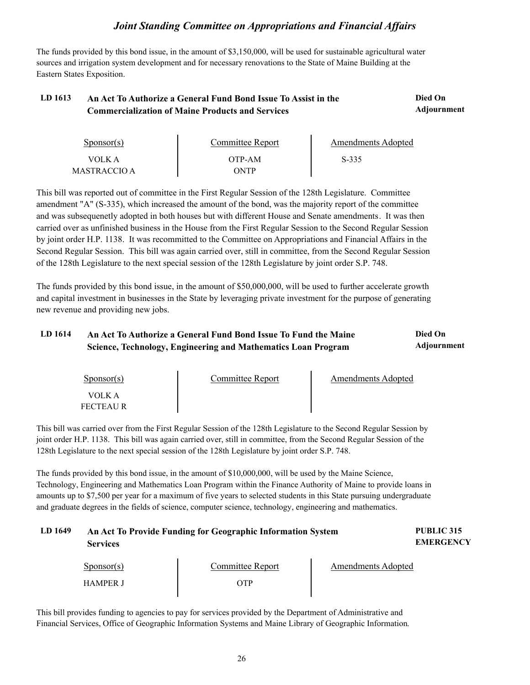The funds provided by this bond issue, in the amount of \$3,150,000, will be used for sustainable agricultural water sources and irrigation system development and for necessary renovations to the State of Maine Building at the Eastern States Exposition.

#### LD 1613 An Act To Authorize a General Fund Bond Issue To Assist in the **Died On Adjournment Commercialization of Maine Products and Services**

| Sponsor(s)   | Committee Report | Amendments Adopted |  |
|--------------|------------------|--------------------|--|
| VOLK A       | OTP-AM           | $S-335$            |  |
| MASTRACCIO A | )NTP             |                    |  |

This bill was reported out of committee in the First Regular Session of the 128th Legislature. Committee amendment "A" (S-335), which increased the amount of the bond, was the majority report of the committee and was subsequenetly adopted in both houses but with different House and Senate amendments. It was then carried over as unfinished business in the House from the First Regular Session to the Second Regular Session by joint order H.P. 1138. It was recommitted to the Committee on Appropriations and Financial Affairs in the Second Regular Session. This bill was again carried over, still in committee, from the Second Regular Session of the 128th Legislature to the next special session of the 128th Legislature by joint order S.P. 748.

The funds provided by this bond issue, in the amount of \$50,000,000, will be used to further accelerate growth and capital investment in businesses in the State by leveraging private investment for the purpose of generating new revenue and providing new jobs.

#### LD 1614 An Act To Authorize a General Fund Bond Issue To Fund the Maine **Died On Adjournment Science, Technology, Engineering and Mathematics Loan Program**

| $S_{\text{ponsor}}(s)$ | Committee Report | <b>Amendments Adopted</b> |  |
|------------------------|------------------|---------------------------|--|
| VOLK A<br>FECTEAU R    |                  |                           |  |

This bill was carried over from the First Regular Session of the 128th Legislature to the Second Regular Session by joint order H.P. 1138. This bill was again carried over, still in committee, from the Second Regular Session of the 128th Legislature to the next special session of the 128th Legislature by joint order S.P. 748.

The funds provided by this bond issue, in the amount of \$10,000,000, will be used by the Maine Science, Technology, Engineering and Mathematics Loan Program within the Finance Authority of Maine to provide loans in amounts up to \$7,500 per year for a maximum of five years to selected students in this State pursuing undergraduate and graduate degrees in the fields of science, computer science, technology, engineering and mathematics.

| LD 1649 | An Act To Provide Funding for Geographic Information System<br><b>Services</b> | PUBLIC 315<br><b>EMERGENCY</b> |
|---------|--------------------------------------------------------------------------------|--------------------------------|
|         |                                                                                |                                |

| $S_{\text{ponsor}}(s)$ | Committee Report | <b>Amendments Adopted</b> |
|------------------------|------------------|---------------------------|
| <b>HAMPER J</b>        | <b>TTP</b>       |                           |

This bill provides funding to agencies to pay for services provided by the Department of Administrative and Financial Services, Office of Geographic Information Systems and Maine Library of Geographic Information.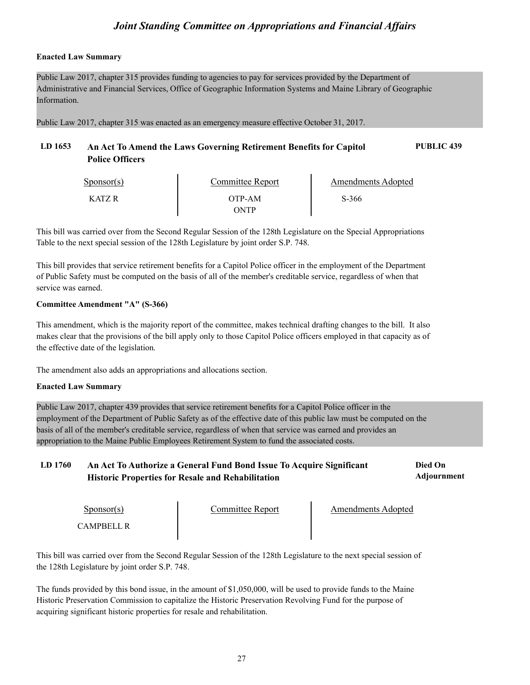### **Enacted Law Summary**

Public Law 2017, chapter 315 provides funding to agencies to pay for services provided by the Department of Administrative and Financial Services, Office of Geographic Information Systems and Maine Library of Geographic Information.

Public Law 2017, chapter 315 was enacted as an emergency measure effective October 31, 2017.

# **LD 1653 An Act To Amend the Laws Governing Retirement Benefits for Capitol PUBLIC 439 Police Officers**

| $S_{\text{PONSOT}}(s)$ | <b>Committee Report</b> | <b>Amendments Adopted</b> |  |
|------------------------|-------------------------|---------------------------|--|
| KATZ R                 | OTP-AM<br>ONTP          | S-366                     |  |

This bill was carried over from the Second Regular Session of the 128th Legislature on the Special Appropriations Table to the next special session of the 128th Legislature by joint order S.P. 748.

This bill provides that service retirement benefits for a Capitol Police officer in the employment of the Department of Public Safety must be computed on the basis of all of the member's creditable service, regardless of when that service was earned.

### **Committee Amendment "A" (S-366)**

This amendment, which is the majority report of the committee, makes technical drafting changes to the bill. It also makes clear that the provisions of the bill apply only to those Capitol Police officers employed in that capacity as of the effective date of the legislation.

The amendment also adds an appropriations and allocations section.

### **Enacted Law Summary**

Public Law 2017, chapter 439 provides that service retirement benefits for a Capitol Police officer in the employment of the Department of Public Safety as of the effective date of this public law must be computed on the basis of all of the member's creditable service, regardless of when that service was earned and provides an appropriation to the Maine Public Employees Retirement System to fund the associated costs.

#### LD 1760 An Act To Authorize a General Fund Bond Issue To Acquire Significant **Died On Adjournment Historic Properties for Resale and Rehabilitation**

| $S_{\text{PON}(\text{S})}$ | Committee Report | <b>Amendments Adopted</b> |  |
|----------------------------|------------------|---------------------------|--|
| CAMPBELL R-                |                  |                           |  |

This bill was carried over from the Second Regular Session of the 128th Legislature to the next special session of the 128th Legislature by joint order S.P. 748.

The funds provided by this bond issue, in the amount of \$1,050,000, will be used to provide funds to the Maine Historic Preservation Commission to capitalize the Historic Preservation Revolving Fund for the purpose of acquiring significant historic properties for resale and rehabilitation.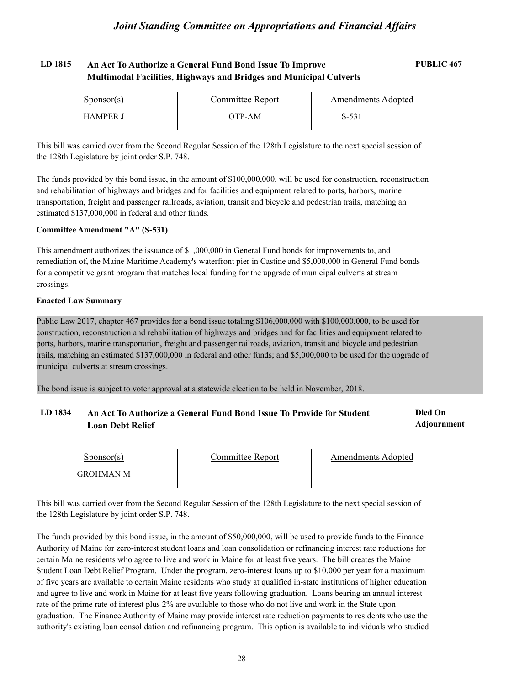# **LD 1815 An Act To Authorize a General Fund Bond Issue To Improve PUBLIC 467 Multimodal Facilities, Highways and Bridges and Municipal Culverts**

| $S_{\text{ponsor}}(s)$ | Committee Report | Amendments Adopted |  |
|------------------------|------------------|--------------------|--|
| <b>HAMPER J</b>        | )TP-AM           | S-531              |  |

This bill was carried over from the Second Regular Session of the 128th Legislature to the next special session of the 128th Legislature by joint order S.P. 748.

The funds provided by this bond issue, in the amount of \$100,000,000, will be used for construction, reconstruction and rehabilitation of highways and bridges and for facilities and equipment related to ports, harbors, marine transportation, freight and passenger railroads, aviation, transit and bicycle and pedestrian trails, matching an estimated \$137,000,000 in federal and other funds.

### **Committee Amendment "A" (S-531)**

This amendment authorizes the issuance of \$1,000,000 in General Fund bonds for improvements to, and remediation of, the Maine Maritime Academy's waterfront pier in Castine and \$5,000,000 in General Fund bonds for a competitive grant program that matches local funding for the upgrade of municipal culverts at stream crossings.

### **Enacted Law Summary**

Public Law 2017, chapter 467 provides for a bond issue totaling \$106,000,000 with \$100,000,000, to be used for construction, reconstruction and rehabilitation of highways and bridges and for facilities and equipment related to ports, harbors, marine transportation, freight and passenger railroads, aviation, transit and bicycle and pedestrian trails, matching an estimated \$137,000,000 in federal and other funds; and \$5,000,000 to be used for the upgrade of municipal culverts at stream crossings.

The bond issue is subject to voter approval at a statewide election to be held in November, 2018.

GROHMAN M

#### LD 1834 An Act To Authorize a General Fund Bond Issue To Provide for Student **Died On Adjournment Loan Debt Relief**

Sponsor(s)

Committee Report Fig. 2. Amendments Adopted

This bill was carried over from the Second Regular Session of the 128th Legislature to the next special session of the 128th Legislature by joint order S.P. 748.

The funds provided by this bond issue, in the amount of \$50,000,000, will be used to provide funds to the Finance Authority of Maine for zero-interest student loans and loan consolidation or refinancing interest rate reductions for certain Maine residents who agree to live and work in Maine for at least five years. The bill creates the Maine Student Loan Debt Relief Program. Under the program, zero-interest loans up to \$10,000 per year for a maximum of five years are available to certain Maine residents who study at qualified in-state institutions of higher education and agree to live and work in Maine for at least five years following graduation. Loans bearing an annual interest rate of the prime rate of interest plus 2% are available to those who do not live and work in the State upon graduation. The Finance Authority of Maine may provide interest rate reduction payments to residents who use the authority's existing loan consolidation and refinancing program. This option is available to individuals who studied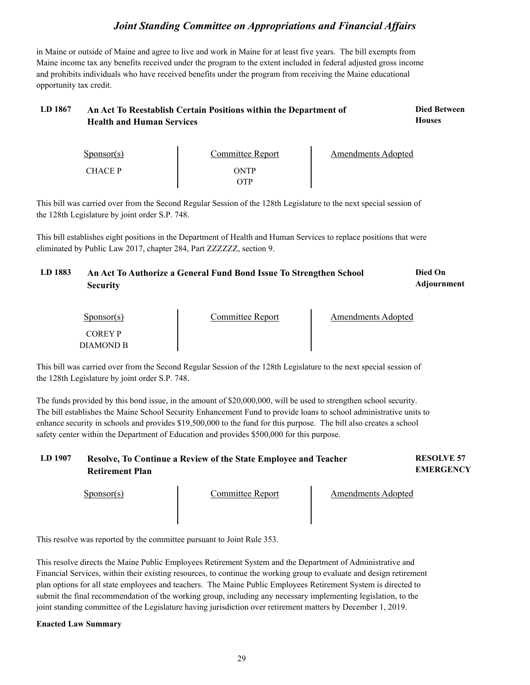in Maine or outside of Maine and agree to live and work in Maine for at least five years. The bill exempts from Maine income tax any benefits received under the program to the extent included in federal adjusted gross income and prohibits individuals who have received benefits under the program from receiving the Maine educational opportunity tax credit.

#### LD 1867 An Act To Reestablish Certain Positions within the Department of **Died Between Houses Health and Human Services**

| $S_{\text{PON}(\text{S})}$ | Committee Report | Amendments Adopted |
|----------------------------|------------------|--------------------|
| <b>CHACE P</b>             | ONTP             |                    |
|                            | )TP              |                    |

This bill was carried over from the Second Regular Session of the 128th Legislature to the next special session of the 128th Legislature by joint order S.P. 748.

This bill establishes eight positions in the Department of Health and Human Services to replace positions that were eliminated by Public Law 2017, chapter 284, Part ZZZZZZ, section 9.

#### LD 1883 An Act To Authorize a General Fund Bond Issue To Strengthen School **Died On Adjournment Security**

| Sponsor(s)                  | Committee Report | Amendments Adopted |  |
|-----------------------------|------------------|--------------------|--|
| <b>COREY P</b><br>DIAMOND B |                  |                    |  |

This bill was carried over from the Second Regular Session of the 128th Legislature to the next special session of the 128th Legislature by joint order S.P. 748.

The funds provided by this bond issue, in the amount of \$20,000,000, will be used to strengthen school security. The bill establishes the Maine School Security Enhancement Fund to provide loans to school administrative units to enhance security in schools and provides \$19,500,000 to the fund for this purpose. The bill also creates a school safety center within the Department of Education and provides \$500,000 for this purpose.

**LD 1907 RESOLVE 57 Resolve, To Continue a Review of the State Employee and Teacher Retirement Plan**

**EMERGENCY**

Sponsor(s) Committee Report Amendments Adopted

This resolve was reported by the committee pursuant to Joint Rule 353.

This resolve directs the Maine Public Employees Retirement System and the Department of Administrative and Financial Services, within their existing resources, to continue the working group to evaluate and design retirement plan options for all state employees and teachers. The Maine Public Employees Retirement System is directed to submit the final recommendation of the working group, including any necessary implementing legislation, to the joint standing committee of the Legislature having jurisdiction over retirement matters by December 1, 2019.

### **Enacted Law Summary**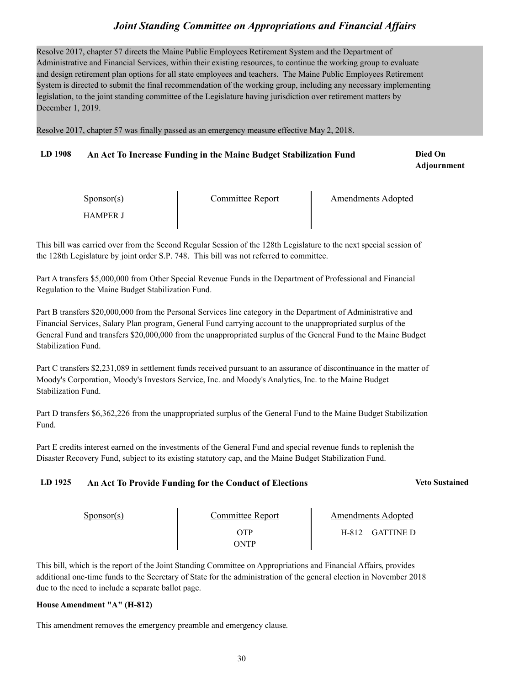Resolve 2017, chapter 57 directs the Maine Public Employees Retirement System and the Department of Administrative and Financial Services, within their existing resources, to continue the working group to evaluate and design retirement plan options for all state employees and teachers. The Maine Public Employees Retirement System is directed to submit the final recommendation of the working group, including any necessary implementing legislation, to the joint standing committee of the Legislature having jurisdiction over retirement matters by December 1, 2019.

Resolve 2017, chapter 57 was finally passed as an emergency measure effective May 2, 2018.

### LD 1908 An Act To Increase Funding in the Maine Budget Stabilization Fund **Died On**

**Adjournment**

| $S_{\text{ponsor}}(s)$ | Committee Report | <b>Amendments Adopted</b> |
|------------------------|------------------|---------------------------|
| HAMPER J               |                  |                           |

This bill was carried over from the Second Regular Session of the 128th Legislature to the next special session of the 128th Legislature by joint order S.P. 748. This bill was not referred to committee.

Part A transfers \$5,000,000 from Other Special Revenue Funds in the Department of Professional and Financial Regulation to the Maine Budget Stabilization Fund.

Part B transfers \$20,000,000 from the Personal Services line category in the Department of Administrative and Financial Services, Salary Plan program, General Fund carrying account to the unappropriated surplus of the General Fund and transfers \$20,000,000 from the unappropriated surplus of the General Fund to the Maine Budget Stabilization Fund.

Part C transfers \$2,231,089 in settlement funds received pursuant to an assurance of discontinuance in the matter of Moody's Corporation, Moody's Investors Service, Inc. and Moody's Analytics, Inc. to the Maine Budget Stabilization Fund.

Part D transfers \$6,362,226 from the unappropriated surplus of the General Fund to the Maine Budget Stabilization Fund.

Part E credits interest earned on the investments of the General Fund and special revenue funds to replenish the Disaster Recovery Fund, subject to its existing statutory cap, and the Maine Budget Stabilization Fund.

### **LD 1925 An Act To Provide Funding for the Conduct of Elections Veto Sustained**

| $S_{\text{ponsor}}(s)$ | Committee Report  | Amendments Adopted        |
|------------------------|-------------------|---------------------------|
|                        | WР<br><b>DNTP</b> | <b>GATTINE D</b><br>H-812 |

This bill, which is the report of the Joint Standing Committee on Appropriations and Financial Affairs, provides additional one-time funds to the Secretary of State for the administration of the general election in November 2018 due to the need to include a separate ballot page.

### **House Amendment "A" (H-812)**

This amendment removes the emergency preamble and emergency clause.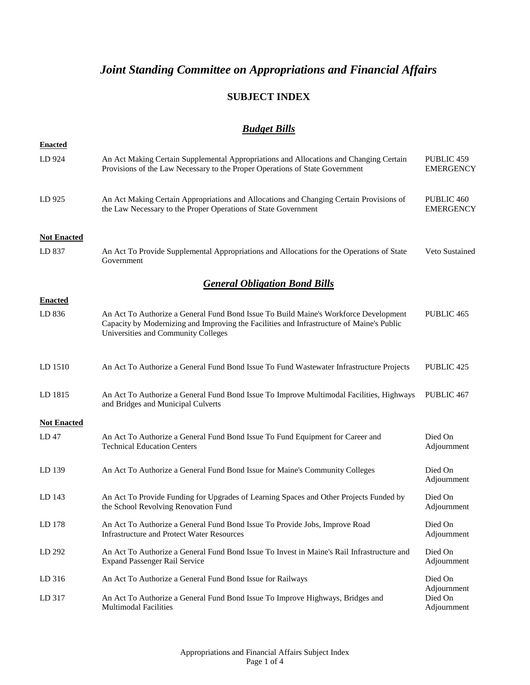# **SUBJECT INDEX**

# *Budget Bills*

| <b>Enacted</b>     |                                                                                                                                                                                                                          |                                       |
|--------------------|--------------------------------------------------------------------------------------------------------------------------------------------------------------------------------------------------------------------------|---------------------------------------|
| LD 924             | An Act Making Certain Supplemental Appropriations and Allocations and Changing Certain<br>Provisions of the Law Necessary to the Proper Operations of State Government                                                   | PUBLIC 459<br><b>EMERGENCY</b>        |
| LD 925             | An Act Making Certain Appropriations and Allocations and Changing Certain Provisions of<br>the Law Necessary to the Proper Operations of State Government                                                                | PUBLIC 460<br><b>EMERGENCY</b>        |
| <b>Not Enacted</b> |                                                                                                                                                                                                                          |                                       |
| LD 837             | An Act To Provide Supplemental Appropriations and Allocations for the Operations of State<br>Government                                                                                                                  | Veto Sustained                        |
|                    | <b>General Obligation Bond Bills</b>                                                                                                                                                                                     |                                       |
| <b>Enacted</b>     |                                                                                                                                                                                                                          |                                       |
| LD 836             | An Act To Authorize a General Fund Bond Issue To Build Maine's Workforce Development<br>Capacity by Modernizing and Improving the Facilities and Infrastructure of Maine's Public<br>Universities and Community Colleges | PUBLIC <sub>465</sub>                 |
| LD 1510            | An Act To Authorize a General Fund Bond Issue To Fund Wastewater Infrastructure Projects                                                                                                                                 | PUBLIC 425                            |
| LD 1815            | An Act To Authorize a General Fund Bond Issue To Improve Multimodal Facilities, Highways<br>and Bridges and Municipal Culverts                                                                                           | PUBLIC <sub>467</sub>                 |
| <b>Not Enacted</b> |                                                                                                                                                                                                                          |                                       |
| LD 47              | An Act To Authorize a General Fund Bond Issue To Fund Equipment for Career and<br><b>Technical Education Centers</b>                                                                                                     | Died On<br>Adjournment                |
| LD 139             | An Act To Authorize a General Fund Bond Issue for Maine's Community Colleges                                                                                                                                             | Died On<br>Adjournment                |
| LD 143             | An Act To Provide Funding for Upgrades of Learning Spaces and Other Projects Funded by<br>the School Revolving Renovation Fund                                                                                           | Died On<br>Adjournment                |
| LD 178             | An Act To Authorize a General Fund Bond Issue To Provide Jobs, Improve Road<br><b>Infrastructure and Protect Water Resources</b>                                                                                         | Died On<br>Adjournment                |
| LD 292             | An Act To Authorize a General Fund Bond Issue To Invest in Maine's Rail Infrastructure and<br><b>Expand Passenger Rail Service</b>                                                                                       | Died On<br>Adjournment                |
| LD 316             | An Act To Authorize a General Fund Bond Issue for Railways                                                                                                                                                               | Died On                               |
| LD 317             | An Act To Authorize a General Fund Bond Issue To Improve Highways, Bridges and<br><b>Multimodal Facilities</b>                                                                                                           | Adjournment<br>Died On<br>Adjournment |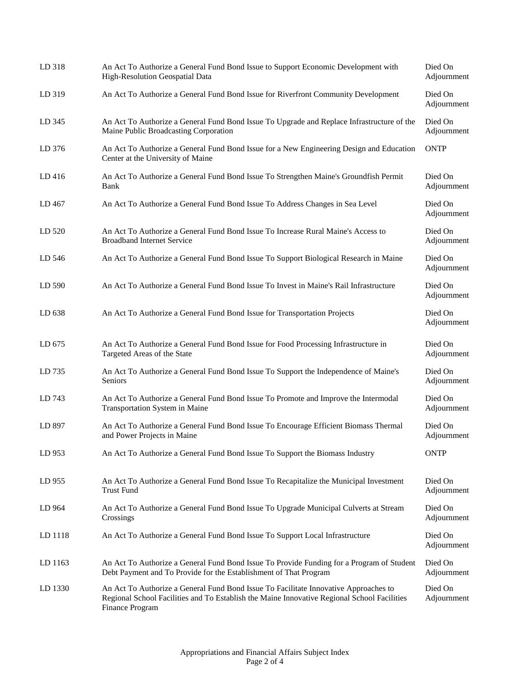| LD 318  | An Act To Authorize a General Fund Bond Issue to Support Economic Development with<br>High-Resolution Geospatial Data                                                                                  | Died On<br>Adjournment |
|---------|--------------------------------------------------------------------------------------------------------------------------------------------------------------------------------------------------------|------------------------|
| LD 319  | An Act To Authorize a General Fund Bond Issue for Riverfront Community Development                                                                                                                     | Died On<br>Adjournment |
| LD 345  | An Act To Authorize a General Fund Bond Issue To Upgrade and Replace Infrastructure of the<br>Maine Public Broadcasting Corporation                                                                    | Died On<br>Adjournment |
| LD 376  | An Act To Authorize a General Fund Bond Issue for a New Engineering Design and Education<br>Center at the University of Maine                                                                          | <b>ONTP</b>            |
| LD 416  | An Act To Authorize a General Fund Bond Issue To Strengthen Maine's Groundfish Permit<br>Bank                                                                                                          | Died On<br>Adjournment |
| LD 467  | An Act To Authorize a General Fund Bond Issue To Address Changes in Sea Level                                                                                                                          | Died On<br>Adjournment |
| LD 520  | An Act To Authorize a General Fund Bond Issue To Increase Rural Maine's Access to<br><b>Broadband Internet Service</b>                                                                                 | Died On<br>Adjournment |
| LD 546  | An Act To Authorize a General Fund Bond Issue To Support Biological Research in Maine                                                                                                                  | Died On<br>Adjournment |
| LD 590  | An Act To Authorize a General Fund Bond Issue To Invest in Maine's Rail Infrastructure                                                                                                                 | Died On<br>Adjournment |
| LD 638  | An Act To Authorize a General Fund Bond Issue for Transportation Projects                                                                                                                              | Died On<br>Adjournment |
| LD 675  | An Act To Authorize a General Fund Bond Issue for Food Processing Infrastructure in<br>Targeted Areas of the State                                                                                     | Died On<br>Adjournment |
| LD 735  | An Act To Authorize a General Fund Bond Issue To Support the Independence of Maine's<br>Seniors                                                                                                        | Died On<br>Adjournment |
| LD 743  | An Act To Authorize a General Fund Bond Issue To Promote and Improve the Intermodal<br>Transportation System in Maine                                                                                  | Died On<br>Adjournment |
| LD 897  | An Act To Authorize a General Fund Bond Issue To Encourage Efficient Biomass Thermal<br>and Power Projects in Maine                                                                                    | Died On<br>Adjournment |
| LD 953  | An Act To Authorize a General Fund Bond Issue To Support the Biomass Industry                                                                                                                          | <b>ONTP</b>            |
| LD 955  | An Act To Authorize a General Fund Bond Issue To Recapitalize the Municipal Investment<br><b>Trust Fund</b>                                                                                            | Died On<br>Adjournment |
| LD 964  | An Act To Authorize a General Fund Bond Issue To Upgrade Municipal Culverts at Stream<br>Crossings                                                                                                     | Died On<br>Adjournment |
| LD 1118 | An Act To Authorize a General Fund Bond Issue To Support Local Infrastructure                                                                                                                          | Died On<br>Adjournment |
| LD 1163 | An Act To Authorize a General Fund Bond Issue To Provide Funding for a Program of Student<br>Debt Payment and To Provide for the Establishment of That Program                                         | Died On<br>Adjournment |
| LD 1330 | An Act To Authorize a General Fund Bond Issue To Facilitate Innovative Approaches to<br>Regional School Facilities and To Establish the Maine Innovative Regional School Facilities<br>Finance Program | Died On<br>Adjournment |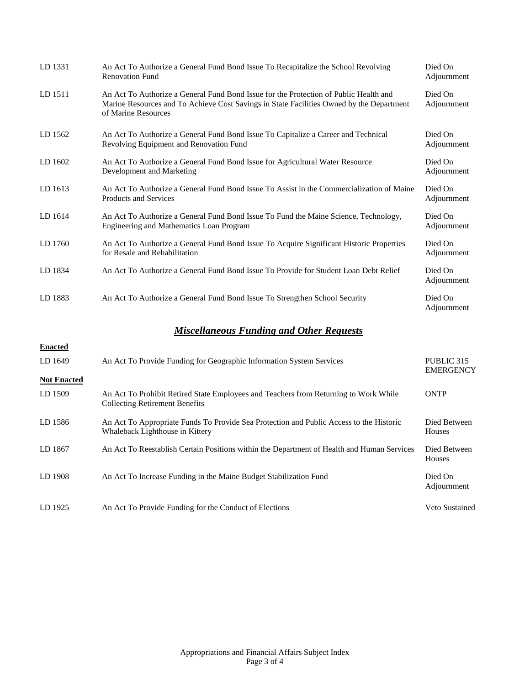| LD 1331   | An Act To Authorize a General Fund Bond Issue To Recapitalize the School Revolving<br><b>Renovation Fund</b>                                                                                             | Died On<br>Adjournment |
|-----------|----------------------------------------------------------------------------------------------------------------------------------------------------------------------------------------------------------|------------------------|
| LD 1511   | An Act To Authorize a General Fund Bond Issue for the Protection of Public Health and<br>Marine Resources and To Achieve Cost Savings in State Facilities Owned by the Department<br>of Marine Resources | Died On<br>Adjournment |
| LD 1562   | An Act To Authorize a General Fund Bond Issue To Capitalize a Career and Technical<br>Revolving Equipment and Renovation Fund                                                                            | Died On<br>Adjournment |
| $LD$ 1602 | An Act To Authorize a General Fund Bond Issue for Agricultural Water Resource<br>Development and Marketing                                                                                               | Died On<br>Adjournment |
| LD 1613   | An Act To Authorize a General Fund Bond Issue To Assist in the Commercialization of Maine<br><b>Products and Services</b>                                                                                | Died On<br>Adjournment |
| LD 1614   | An Act To Authorize a General Fund Bond Issue To Fund the Maine Science, Technology,<br>Engineering and Mathematics Loan Program                                                                         | Died On<br>Adjournment |
| LD 1760   | An Act To Authorize a General Fund Bond Issue To Acquire Significant Historic Properties<br>for Resale and Rehabilitation                                                                                | Died On<br>Adjournment |
| LD 1834   | An Act To Authorize a General Fund Bond Issue To Provide for Student Loan Debt Relief                                                                                                                    | Died On<br>Adjournment |
| LD 1883   | An Act To Authorize a General Fund Bond Issue To Strengthen School Security                                                                                                                              | Died On<br>Adjournment |

# *Miscellaneous Funding and Other Requests*

| <b>Enacted</b>     |                                                                                                                               |                                |
|--------------------|-------------------------------------------------------------------------------------------------------------------------------|--------------------------------|
| LD 1649            | An Act To Provide Funding for Geographic Information System Services                                                          | PUBLIC 315<br><b>EMERGENCY</b> |
| <b>Not Enacted</b> |                                                                                                                               |                                |
| LD 1509            | An Act To Prohibit Retired State Employees and Teachers from Returning to Work While<br><b>Collecting Retirement Benefits</b> | <b>ONTP</b>                    |
| LD 1586            | An Act To Appropriate Funds To Provide Sea Protection and Public Access to the Historic<br>Whaleback Lighthouse in Kittery    | Died Between<br><b>Houses</b>  |
| LD 1867            | An Act To Reestablish Certain Positions within the Department of Health and Human Services                                    | Died Between<br>Houses         |
| LD 1908            | An Act To Increase Funding in the Maine Budget Stabilization Fund                                                             | Died On<br>Adjournment         |
| LD 1925            | An Act To Provide Funding for the Conduct of Elections                                                                        | Veto Sustained                 |